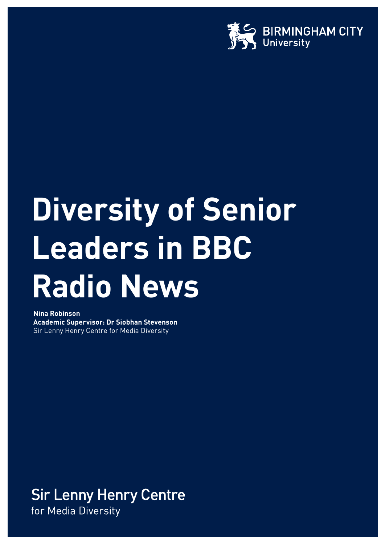

# **Diversity of Senior Leaders in BBC Radio News**

**Nina Robinson Academic Supervisor: Dr Siobhan Stevenson** Sir Lenny Henry Centre for Media Diversity

**Sir Lenny Henry Centre** for Media Diversity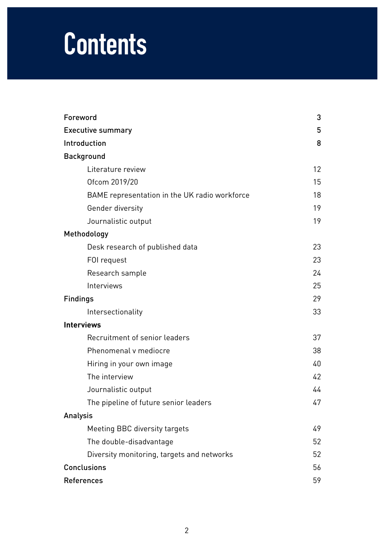# **Contents**

| Foreword                                      | 3  |
|-----------------------------------------------|----|
| <b>Executive summary</b>                      | 5  |
| Introduction                                  | 8  |
| <b>Background</b>                             |    |
| Literature review                             | 12 |
| Ofcom 2019/20                                 | 15 |
| BAME representation in the UK radio workforce | 18 |
| Gender diversity                              | 19 |
| Journalistic output                           | 19 |
| Methodology                                   |    |
| Desk research of published data               | 23 |
| FOI request                                   | 23 |
| Research sample                               | 24 |
| Interviews                                    | 25 |
| <b>Findings</b>                               | 29 |
| Intersectionality                             | 33 |
| <b>Interviews</b>                             |    |
| Recruitment of senior leaders                 | 37 |
| Phenomenal v mediocre                         | 38 |
| Hiring in your own image                      | 40 |
| The interview                                 | 42 |
| Journalistic output                           | 44 |
| The pipeline of future senior leaders         | 47 |
| <b>Analysis</b>                               |    |
| Meeting BBC diversity targets                 | 49 |
| The double-disadvantage                       | 52 |
| Diversity monitoring, targets and networks    | 52 |
| <b>Conclusions</b>                            | 56 |
| References                                    | 59 |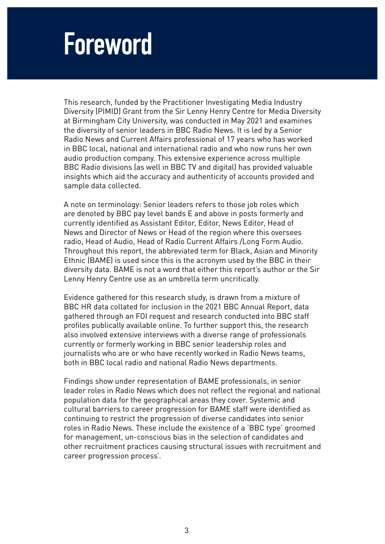# **Foreword**

This research, funded by the Practitioner Investigating Media Industry Diversity (PIMID) Grant from the Sir Lenny Henry Centre for Media Diversity at Birmingham City University, was conducted in May 2021 and examines the diversity of senior leaders in BBC Radio News. It is led by a Senior Radio News and Current Affairs professional of 17 years who has worked in BBC local, national and international radio and who now runs her own audio production company. This extensive experience across multiple BBC Radio divisions (as well in BBC TV and digital) has provided valuable insights which aid the accuracy and authenticity of accounts provided and sample data collected.

A note on terminology: Senior leaders refers to those job roles which are denoted by BBC pay level bands E and above in posts formerly and currently identified as Assistant Editor, Editor, News Editor, Head of News and Director of News or Head of the region where this oversees radio, Head of Audio, Head of Radio Current Affairs /Long Form Audio. Throughout this report, the abbreviated term for Black, Asian and Minority Ethnic (BAME) is used since this is the acronym used by the BBC in their diversity data. BAME is not a word that either this report's author or the Sir Lenny Henry Centre use as an umbrella term uncritically.

Evidence gathered for this research study, is drawn from a mixture of BBC HR data collated for inclusion in the 2021 BBC Annual Report, data gathered through an FOI request and research conducted into BBC staff profiles publically available online. To further support this, the research also involved extensive interviews with a diverse range of professionals currently or formerly working in BBC senior leadership roles and journalists who are or who have recently worked in Radio News teams, both in BBC local radio and national Radio News departments.

Findings show under representation of BAME professionals, in senior leader roles in Radio News which does not reflect the regional and national population data for the geographical areas they cover. Systemic and cultural barriers to career progression for BAME staff were identified as continuing to restrict the progression of diverse candidates into senior roles in Radio News. These include the existence of a 'BBC type' groomed for management, un-conscious bias in the selection of candidates and other recruitment practices causing structural issues with recruitment and career progression process'.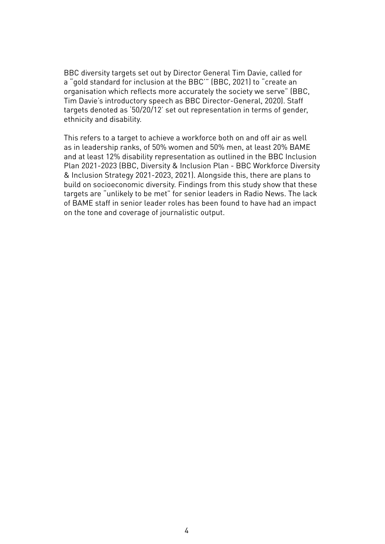BBC diversity targets set out by Director General Tim Davie, called for a "gold standard for inclusion at the BBC'" (BBC, 2021) to "create an organisation which reflects more accurately the society we serve" (BBC, Tim Davie's introductory speech as BBC Director-General, 2020). Staff targets denoted as '50/20/12' set out representation in terms of gender, ethnicity and disability.

This refers to a target to achieve a workforce both on and off air as well as in leadership ranks, of 50% women and 50% men, at least 20% BAME and at least 12% disability representation as outlined in the BBC Inclusion Plan 2021-2023 (BBC, Diversity & Inclusion Plan - BBC Workforce Diversity & Inclusion Strategy 2021-2023, 2021). Alongside this, there are plans to build on socioeconomic diversity. Findings from this study show that these targets are "unlikely to be met" for senior leaders in Radio News. The lack of BAME staff in senior leader roles has been found to have had an impact on the tone and coverage of journalistic output.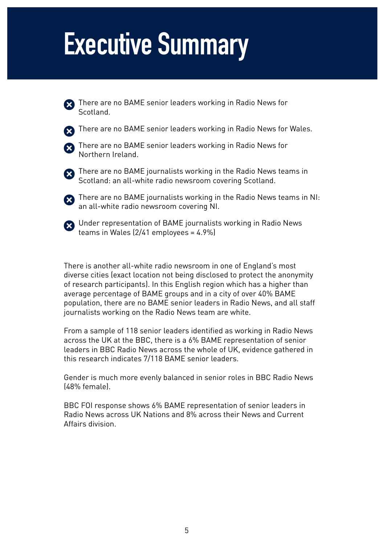# **Executive Summary**

There are no BAME senior leaders working in Radio News for **Scotland** 

There are no BAME senior leaders working in Radio News for Wales.

There are no BAME senior leaders working in Radio News for Northern Ireland.

There are no BAME journalists working in the Radio News teams in Scotland: an all-white radio newsroom covering Scotland.



There are no BAME journalists working in the Radio News teams in NI: an all-white radio newsroom covering NI.

Under representation of BAME journalists working in Radio News teams in Wales (2/41 employees = 4.9%)

There is another all-white radio newsroom in one of England's most diverse cities (exact location not being disclosed to protect the anonymity of research participants). In this English region which has a higher than average percentage of BAME groups and in a city of over 40% BAME population, there are no BAME senior leaders in Radio News, and all staff journalists working on the Radio News team are white.

From a sample of 118 senior leaders identified as working in Radio News across the UK at the BBC, there is a 6% BAME representation of senior leaders in BBC Radio News across the whole of UK, evidence gathered in this research indicates 7/118 BAME senior leaders.

Gender is much more evenly balanced in senior roles in BBC Radio News (48% female).

BBC FOI response shows 6% BAME representation of senior leaders in Radio News across UK Nations and 8% across their News and Current Affairs division.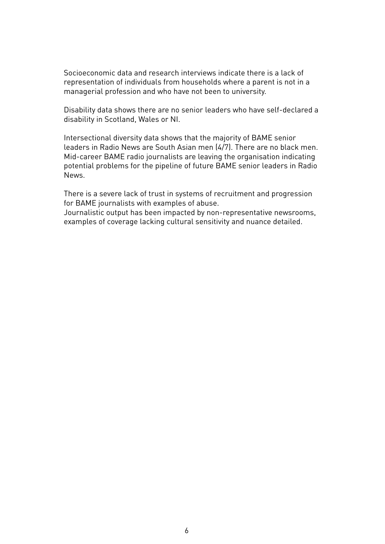Socioeconomic data and research interviews indicate there is a lack of representation of individuals from households where a parent is not in a managerial profession and who have not been to university.

Disability data shows there are no senior leaders who have self-declared a disability in Scotland, Wales or NI.

Intersectional diversity data shows that the majority of BAME senior leaders in Radio News are South Asian men (4/7). There are no black men. Mid-career BAME radio journalists are leaving the organisation indicating potential problems for the pipeline of future BAME senior leaders in Radio News.

There is a severe lack of trust in systems of recruitment and progression for BAME journalists with examples of abuse.

Journalistic output has been impacted by non-representative newsrooms, examples of coverage lacking cultural sensitivity and nuance detailed.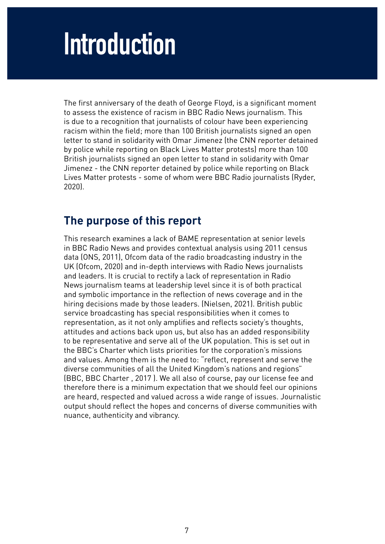# **Introduction**

The first anniversary of the death of George Floyd, is a significant moment to assess the existence of racism in BBC Radio News journalism. This is due to a recognition that journalists of colour have been experiencing racism within the field; more than 100 British journalists signed an open letter to stand in solidarity with Omar Jimenez (the CNN reporter detained by police while reporting on Black Lives Matter protests) more than 100 British journalists signed an open letter to stand in solidarity with Omar Jimenez - the CNN reporter detained by police while reporting on Black Lives Matter protests - some of whom were BBC Radio journalists (Ryder, 2020).

## **The purpose of this report**

This research examines a lack of BAME representation at senior levels in BBC Radio News and provides contextual analysis using 2011 census data (ONS, 2011), Ofcom data of the radio broadcasting industry in the UK (Ofcom, 2020) and in-depth interviews with Radio News journalists and leaders. It is crucial to rectify a lack of representation in Radio News journalism teams at leadership level since it is of both practical and symbolic importance in the reflection of news coverage and in the hiring decisions made by those leaders. (Nielsen, 2021). British public service broadcasting has special responsibilities when it comes to representation, as it not only amplifies and reflects society's thoughts, attitudes and actions back upon us, but also has an added responsibility to be representative and serve all of the UK population. This is set out in the BBC's Charter which lists priorities for the corporation's missions and values. Among them is the need to: "reflect, represent and serve the diverse communities of all the United Kingdom's nations and regions" (BBC, BBC Charter , 2017 ). We all also of course, pay our license fee and therefore there is a minimum expectation that we should feel our opinions are heard, respected and valued across a wide range of issues. Journalistic output should reflect the hopes and concerns of diverse communities with nuance, authenticity and vibrancy.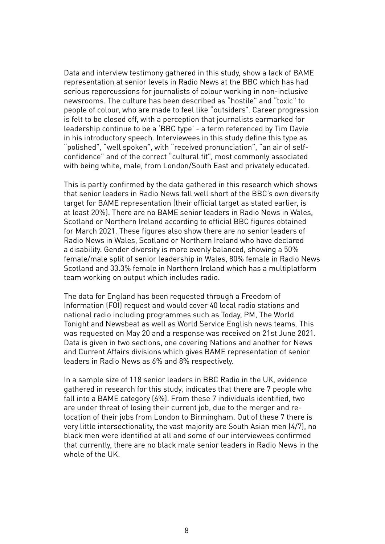Data and interview testimony gathered in this study, show a lack of BAME representation at senior levels in Radio News at the BBC which has had serious repercussions for journalists of colour working in non-inclusive newsrooms. The culture has been described as "hostile" and "toxic" to people of colour, who are made to feel like "outsiders". Career progression is felt to be closed off, with a perception that journalists earmarked for leadership continue to be a 'BBC type' - a term referenced by Tim Davie in his introductory speech. Interviewees in this study define this type as "polished", "well spoken", with "received pronunciation", "an air of selfconfidence" and of the correct "cultural fit", most commonly associated with being white, male, from London/South East and privately educated.

This is partly confirmed by the data gathered in this research which shows that senior leaders in Radio News fall well short of the BBC's own diversity target for BAME representation (their official target as stated earlier, is at least 20%). There are no BAME senior leaders in Radio News in Wales, Scotland or Northern Ireland according to official BBC figures obtained for March 2021. These figures also show there are no senior leaders of Radio News in Wales, Scotland or Northern Ireland who have declared a disability. Gender diversity is more evenly balanced, showing a 50% female/male split of senior leadership in Wales, 80% female in Radio News Scotland and 33.3% female in Northern Ireland which has a multiplatform team working on output which includes radio.

The data for England has been requested through a Freedom of Information (FOI) request and would cover 40 local radio stations and national radio including programmes such as Today, PM, The World Tonight and Newsbeat as well as World Service English news teams. This was requested on May 20 and a response was received on 21st June 2021. Data is given in two sections, one covering Nations and another for News and Current Affairs divisions which gives BAME representation of senior leaders in Radio News as 6% and 8% respectively.

In a sample size of 118 senior leaders in BBC Radio in the UK, evidence gathered in research for this study, indicates that there are 7 people who fall into a BAME category (6%). From these 7 individuals identified, two are under threat of losing their current job, due to the merger and relocation of their jobs from London to Birmingham. Out of these 7 there is very little intersectionality, the vast majority are South Asian men (4/7), no black men were identified at all and some of our interviewees confirmed that currently, there are no black male senior leaders in Radio News in the whole of the UK.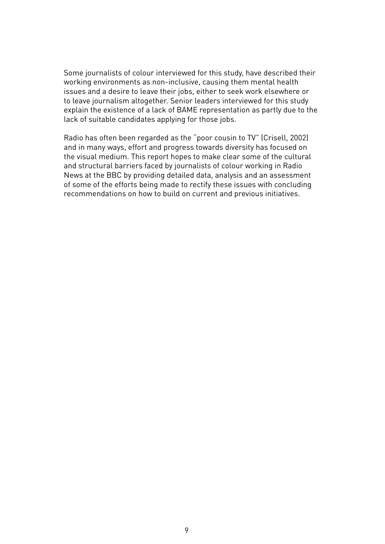Some journalists of colour interviewed for this study, have described their working environments as non-inclusive, causing them mental health issues and a desire to leave their jobs, either to seek work elsewhere or to leave journalism altogether. Senior leaders interviewed for this study explain the existence of a lack of BAME representation as partly due to the lack of suitable candidates applying for those jobs.

Radio has often been regarded as the "poor cousin to TV" (Crisell, 2002) and in many ways, effort and progress towards diversity has focused on the visual medium. This report hopes to make clear some of the cultural and structural barriers faced by journalists of colour working in Radio News at the BBC by providing detailed data, analysis and an assessment of some of the efforts being made to rectify these issues with concluding recommendations on how to build on current and previous initiatives.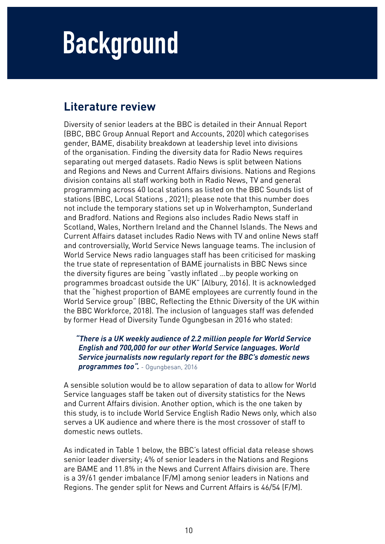# **Background**

# **Literature review**

Diversity of senior leaders at the BBC is detailed in their Annual Report (BBC, BBC Group Annual Report and Accounts, 2020) which categorises gender, BAME, disability breakdown at leadership level into divisions of the organisation. Finding the diversity data for Radio News requires separating out merged datasets. Radio News is split between Nations and Regions and News and Current Affairs divisions. Nations and Regions division contains all staff working both in Radio News, TV and general programming across 40 local stations as listed on the BBC Sounds list of stations (BBC, Local Stations , 2021); please note that this number does not include the temporary stations set up in Wolverhampton, Sunderland and Bradford. Nations and Regions also includes Radio News staff in Scotland, Wales, Northern Ireland and the Channel Islands. The News and Current Affairs dataset includes Radio News with TV and online News staff and controversially, World Service News language teams. The inclusion of World Service News radio languages staff has been criticised for masking the true state of representation of BAME journalists in BBC News since the diversity figures are being "vastly inflated …by people working on programmes broadcast outside the UK" (Albury, 2016). It is acknowledged that the "highest proportion of BAME employees are currently found in the World Service group" (BBC, Reflecting the Ethnic Diversity of the UK within the BBC Workforce, 2018). The inclusion of languages staff was defended by former Head of Diversity Tunde Ogungbesan in 2016 who stated:

*"There is a UK weekly audience of 2.2 million people for World Service English and 700,000 for our other World Service languages. World Service journalists now regularly report for the BBC's domestic news programmes too".* - Ogungbesan, 2016

A sensible solution would be to allow separation of data to allow for World Service languages staff be taken out of diversity statistics for the News and Current Affairs division. Another option, which is the one taken by this study, is to include World Service English Radio News only, which also serves a UK audience and where there is the most crossover of staff to domestic news outlets.

As indicated in Table 1 below, the BBC's latest official data release shows senior leader diversity; 4% of senior leaders in the Nations and Regions are BAME and 11.8% in the News and Current Affairs division are. There is a 39/61 gender imbalance (F/M) among senior leaders in Nations and Regions. The gender split for News and Current Affairs is 46/54 (F/M).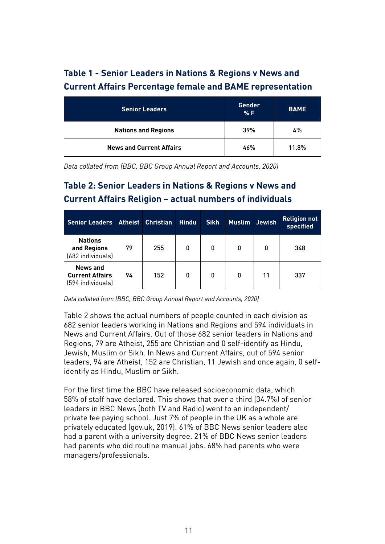### **Table 1 - Senior Leaders in Nations & Regions v News and Current Affairs Percentage female and BAME representation**

| <b>Senior Leaders</b>           | Gender<br>% F | <b>BAME</b> |
|---------------------------------|---------------|-------------|
| <b>Nations and Regions</b>      | 39%           | 4%          |
| <b>News and Current Affairs</b> | 46%           | 11.8%       |

*Data collated from (BBC, BBC Group Annual Report and Accounts, 2020)*

### **Table 2: Senior Leaders in Nations & Regions v News and Current Affairs Religion – actual numbers of individuals**

| <b>Senior Leaders Atheist Christian</b>                 |    |     | <b>Hindu</b> | <b>Sikh</b> | Muslim Jewish |    | <b>Religion not</b><br>specified |
|---------------------------------------------------------|----|-----|--------------|-------------|---------------|----|----------------------------------|
| <b>Nations</b><br>and Regions<br>(682 individuals)      | 79 | 255 | 0            | 0           | 0             | 0  | 348                              |
| News and<br><b>Current Affairs</b><br>(594 individuals) | 94 | 152 | 0            | 0           | 0             | 11 | 337                              |

*Data collated from (BBC, BBC Group Annual Report and Accounts, 2020)*

Table 2 shows the actual numbers of people counted in each division as 682 senior leaders working in Nations and Regions and 594 individuals in News and Current Affairs. Out of those 682 senior leaders in Nations and Regions, 79 are Atheist, 255 are Christian and 0 self-identify as Hindu, Jewish, Muslim or Sikh. In News and Current Affairs, out of 594 senior leaders, 94 are Atheist, 152 are Christian, 11 Jewish and once again, 0 selfidentify as Hindu, Muslim or Sikh.

For the first time the BBC have released socioeconomic data, which 58% of staff have declared. This shows that over a third (34.7%) of senior leaders in BBC News (both TV and Radio) went to an independent/ private fee paying school. Just 7% of people in the UK as a whole are privately educated (gov.uk, 2019). 61% of BBC News senior leaders also had a parent with a university degree. 21% of BBC News senior leaders had parents who did routine manual jobs. 68% had parents who were managers/professionals.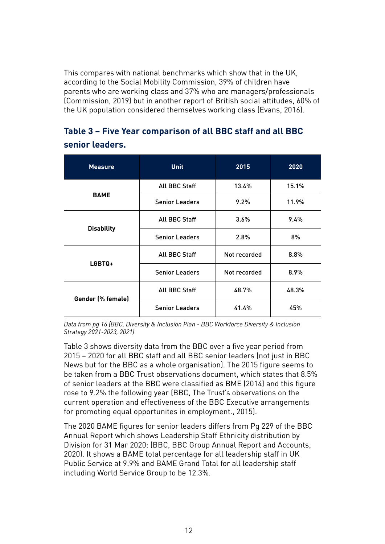This compares with national benchmarks which show that in the UK, according to the Social Mobility Commission, 39% of children have parents who are working class and 37% who are managers/professionals (Commission, 2019) but in another report of British social attitudes, 60% of the UK population considered themselves working class (Evans, 2016).

| <b>Measure</b>    | <b>Unit</b>           | 2015         | 2020  |
|-------------------|-----------------------|--------------|-------|
|                   | <b>All BBC Staff</b>  | 13.4%        | 15.1% |
| <b>BAME</b>       | <b>Senior Leaders</b> | 9.2%         | 11.9% |
|                   | <b>All BBC Staff</b>  | 3.6%         | 9.4%  |
| <b>Disability</b> | <b>Senior Leaders</b> | 2.8%         | 8%    |
|                   | <b>All BBC Staff</b>  | Not recorded | 8.8%  |
| LGBTQ+            | <b>Senior Leaders</b> | Not recorded | 8.9%  |
|                   | <b>All BBC Staff</b>  | 48.7%        | 48.3% |
| Gender (% female) | <b>Senior Leaders</b> | 41.4%        | 45%   |

### **Table 3 – Five Year comparison of all BBC staff and all BBC senior leaders.**

*Data from pg 16 (BBC, Diversity & Inclusion Plan - BBC Workforce Diversity & Inclusion Strategy 2021-2023, 2021)*

Table 3 shows diversity data from the BBC over a five year period from 2015 – 2020 for all BBC staff and all BBC senior leaders (not just in BBC News but for the BBC as a whole organisation). The 2015 figure seems to be taken from a BBC Trust observations document, which states that 8.5% of senior leaders at the BBC were classified as BME (2014) and this figure rose to 9.2% the following year (BBC, The Trust's observations on the current operation and effectiveness of the BBC Executive arrangements for promoting equal opportunites in employment., 2015).

The 2020 BAME figures for senior leaders differs from Pg 229 of the BBC Annual Report which shows Leadership Staff Ethnicity distribution by Division for 31 Mar 2020: (BBC, BBC Group Annual Report and Accounts, 2020). It shows a BAME total percentage for all leadership staff in UK Public Service at 9.9% and BAME Grand Total for all leadership staff including World Service Group to be 12.3%.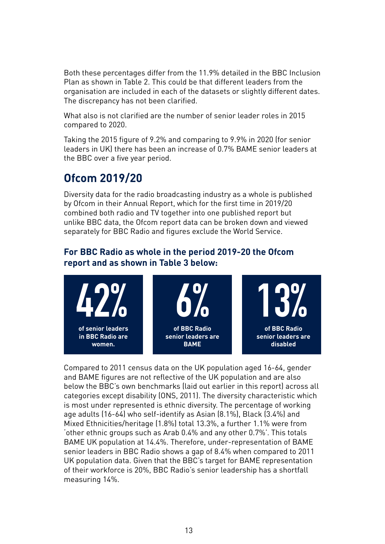Both these percentages differ from the 11.9% detailed in the BBC Inclusion Plan as shown in Table 2. This could be that different leaders from the organisation are included in each of the datasets or slightly different dates. The discrepancy has not been clarified.

What also is not clarified are the number of senior leader roles in 2015 compared to 2020.

Taking the 2015 figure of 9.2% and comparing to 9.9% in 2020 (for senior leaders in UK) there has been an increase of 0.7% BAME senior leaders at the BBC over a five year period.

# **Ofcom 2019/20**

Diversity data for the radio broadcasting industry as a whole is published by Ofcom in their Annual Report, which for the first time in 2019/20 combined both radio and TV together into one published report but unlike BBC data, the Ofcom report data can be broken down and viewed separately for BBC Radio and figures exclude the World Service.

### **For BBC Radio as whole in the period 2019-20 the Ofcom report and as shown in Table 3 below:**



Compared to 2011 census data on the UK population aged 16-64, gender and BAME figures are not reflective of the UK population and are also below the BBC's own benchmarks (laid out earlier in this report) across all categories except disability (ONS, 2011). The diversity characteristic which is most under represented is ethnic diversity. The percentage of working age adults (16-64) who self-identify as Asian (8.1%), Black (3.4%) and Mixed Ethnicities/heritage (1.8%) total 13.3%, a further 1.1% were from 'other ethnic groups such as Arab 0.4% and any other 0.7%'. This totals BAME UK population at 14.4%. Therefore, under-representation of BAME senior leaders in BBC Radio shows a gap of 8.4% when compared to 2011 UK population data. Given that the BBC's target for BAME representation of their workforce is 20%, BBC Radio's senior leadership has a shortfall measuring 14%.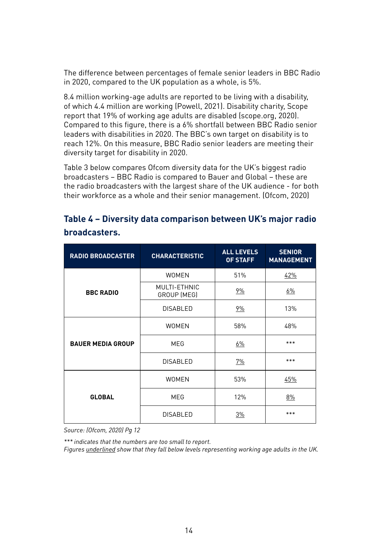The difference between percentages of female senior leaders in BBC Radio in 2020, compared to the UK population as a whole, is 5%.

8.4 million working-age adults are reported to be living with a disability, of which 4.4 million are working (Powell, 2021). Disability charity, Scope report that 19% of working age adults are disabled (scope.org, 2020). Compared to this figure, there is a 6% shortfall between BBC Radio senior leaders with disabilities in 2020. The BBC's own target on disability is to reach 12%. On this measure, BBC Radio senior leaders are meeting their diversity target for disability in 2020.

Table 3 below compares Ofcom diversity data for the UK's biggest radio broadcasters – BBC Radio is compared to Bauer and Global – these are the radio broadcasters with the largest share of the UK audience - for both their workforce as a whole and their senior management. (Ofcom, 2020)

| <b>RADIO BROADCASTER</b> | <b>CHARACTERISTIC</b>       | <b>ALL LEVELS</b><br><b>OF STAFF</b> | <b>SENIOR</b><br><b>MANAGEMENT</b> |
|--------------------------|-----------------------------|--------------------------------------|------------------------------------|
|                          | <b>WOMEN</b>                | 51%                                  | 42%                                |
| <b>BBC RADIO</b>         | MULTI-ETHNIC<br>GROUP (MEG) | 9%                                   | 6%                                 |
|                          | <b>DISABLED</b>             | 9%                                   | 13%                                |
|                          | <b>WOMEN</b>                | 58%                                  | 48%                                |
| <b>BAUER MEDIA GROUP</b> | MEG                         | 6%                                   | ***                                |
|                          | <b>DISABLED</b>             | 7%                                   | ***                                |
|                          | <b>WOMEN</b>                | 53%                                  | 45%                                |
| <b>GLOBAL</b>            | MEG                         | 12%                                  | 8%                                 |
|                          | <b>DISABLED</b>             | 3%                                   | ***                                |

#### **Table 4 – Diversity data comparison between UK's major radio broadcasters.**

*Source: (Ofcom, 2020) Pg 12* 

*\*\*\* indicates that the numbers are too small to report. Figures underlined show that they fall below levels representing working age adults in the UK.*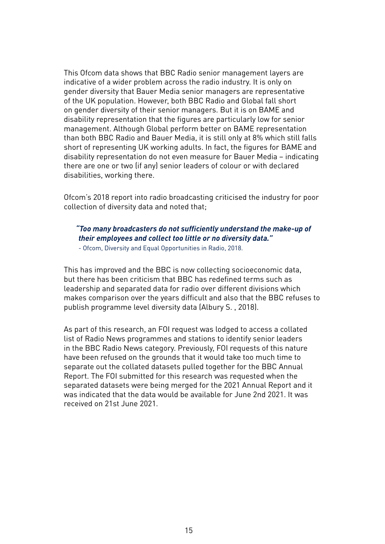This Ofcom data shows that BBC Radio senior management layers are indicative of a wider problem across the radio industry. It is only on gender diversity that Bauer Media senior managers are representative of the UK population. However, both BBC Radio and Global fall short on gender diversity of their senior managers. But it is on BAME and disability representation that the figures are particularly low for senior management. Although Global perform better on BAME representation than both BBC Radio and Bauer Media, it is still only at 8% which still falls short of representing UK working adults. In fact, the figures for BAME and disability representation do not even measure for Bauer Media – indicating there are one or two (if any) senior leaders of colour or with declared disabilities, working there.

Ofcom's 2018 report into radio broadcasting criticised the industry for poor collection of diversity data and noted that;

#### *"Too many broadcasters do not sufficiently understand the make-up of their employees and collect too little or no diversity data."*  - Ofcom, Diversity and Equal Opportunities in Radio, 2018.

This has improved and the BBC is now collecting socioeconomic data, but there has been criticism that BBC has redefined terms such as leadership and separated data for radio over different divisions which makes comparison over the years difficult and also that the BBC refuses to publish programme level diversity data (Albury S. , 2018).

As part of this research, an FOI request was lodged to access a collated list of Radio News programmes and stations to identify senior leaders in the BBC Radio News category. Previously, FOI requests of this nature have been refused on the grounds that it would take too much time to separate out the collated datasets pulled together for the BBC Annual Report. The FOI submitted for this research was requested when the separated datasets were being merged for the 2021 Annual Report and it was indicated that the data would be available for June 2nd 2021. It was received on 21st June 2021.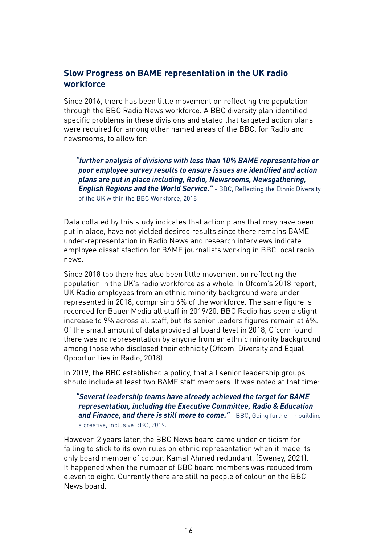#### **Slow Progress on BAME representation in the UK radio workforce**

Since 2016, there has been little movement on reflecting the population through the BBC Radio News workforce. A BBC diversity plan identified specific problems in these divisions and stated that targeted action plans were required for among other named areas of the BBC, for Radio and newsrooms, to allow for:

*"further analysis of divisions with less than 10% BAME representation or poor employee survey results to ensure issues are identified and action plans are put in place including, Radio, Newsrooms, Newsgathering, English Regions and the World Service."* - BBC, Reflecting the Ethnic Diversity of the UK within the BBC Workforce, 2018

Data collated by this study indicates that action plans that may have been put in place, have not yielded desired results since there remains BAME under-representation in Radio News and research interviews indicate employee dissatisfaction for BAME journalists working in BBC local radio news.

Since 2018 too there has also been little movement on reflecting the population in the UK's radio workforce as a whole. In Ofcom's 2018 report, UK Radio employees from an ethnic minority background were underrepresented in 2018, comprising 6% of the workforce. The same figure is recorded for Bauer Media all staff in 2019/20. BBC Radio has seen a slight increase to 9% across all staff, but its senior leaders figures remain at 6%. Of the small amount of data provided at board level in 2018, Ofcom found there was no representation by anyone from an ethnic minority background among those who disclosed their ethnicity (Ofcom, Diversity and Equal Opportunities in Radio, 2018).

In 2019, the BBC established a policy, that all senior leadership groups should include at least two BAME staff members. It was noted at that time:

*"Several leadership teams have already achieved the target for BAME representation, including the Executive Committee, Radio & Education*  **and Finance, and there is still more to come."** - BBC, Going further in building a creative, inclusive BBC, 2019.

However, 2 years later, the BBC News board came under criticism for failing to stick to its own rules on ethnic representation when it made its only board member of colour, Kamal Ahmed redundant. (Sweney, 2021). It happened when the number of BBC board members was reduced from eleven to eight. Currently there are still no people of colour on the BBC News board.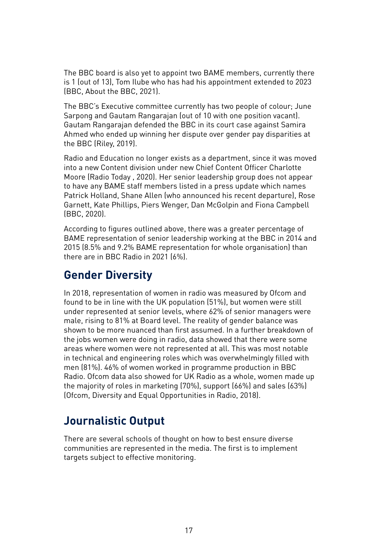The BBC board is also yet to appoint two BAME members, currently there is 1 (out of 13), Tom Ilube who has had his appointment extended to 2023 (BBC, About the BBC, 2021).

The BBC's Executive committee currently has two people of colour; June Sarpong and Gautam Rangarajan (out of 10 with one position vacant). Gautam Rangarajan defended the BBC in its court case against Samira Ahmed who ended up winning her dispute over gender pay disparities at the BBC (Riley, 2019).

Radio and Education no longer exists as a department, since it was moved into a new Content division under new Chief Content Officer Charlotte Moore (Radio Today , 2020). Her senior leadership group does not appear to have any BAME staff members listed in a press update which names Patrick Holland, Shane Allen (who announced his recent departure), Rose Garnett, Kate Phillips, Piers Wenger, Dan McGolpin and Fiona Campbell (BBC, 2020).

According to figures outlined above, there was a greater percentage of BAME representation of senior leadership working at the BBC in 2014 and 2015 (8.5% and 9.2% BAME representation for whole organisation) than there are in BBC Radio in 2021 (6%).

## **Gender Diversity**

In 2018, representation of women in radio was measured by Ofcom and found to be in line with the UK population (51%), but women were still under represented at senior levels, where 62% of senior managers were male, rising to 81% at Board level. The reality of gender balance was shown to be more nuanced than first assumed. In a further breakdown of the jobs women were doing in radio, data showed that there were some areas where women were not represented at all. This was most notable in technical and engineering roles which was overwhelmingly filled with men (81%). 46% of women worked in programme production in BBC Radio. Ofcom data also showed for UK Radio as a whole, women made up the majority of roles in marketing (70%), support (66%) and sales (63%) (Ofcom, Diversity and Equal Opportunities in Radio, 2018).

# **Journalistic Output**

There are several schools of thought on how to best ensure diverse communities are represented in the media. The first is to implement targets subject to effective monitoring.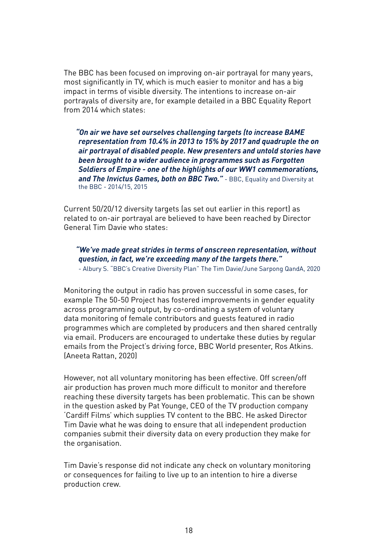The BBC has been focused on improving on-air portrayal for many years, most significantly in TV, which is much easier to monitor and has a big impact in terms of visible diversity. The intentions to increase on-air portrayals of diversity are, for example detailed in a BBC Equality Report from 2014 which states:

*"On air we have set ourselves challenging targets (to increase BAME representation from 10.4% in 2013 to 15% by 2017 and quadruple the on air portrayal of disabled people. New presenters and untold stories have been brought to a wider audience in programmes such as Forgotten Soldiers of Empire - one of the highlights of our WW1 commemorations,*  **and The Invictus Games, both on BBC Two."** - BBC, Equality and Diversity at the BBC - 2014/15, 2015

Current 50/20/12 diversity targets (as set out earlier in this report) as related to on-air portrayal are believed to have been reached by Director General Tim Davie who states:

*"We've made great strides in terms of onscreen representation, without question, in fact, we're exceeding many of the targets there."*  - Albury S. "BBC's Creative Diversity Plan" The Tim Davie/June Sarpong QandA, 2020

Monitoring the output in radio has proven successful in some cases, for example The 50-50 Project has fostered improvements in gender equality across programming output, by co-ordinating a system of voluntary data monitoring of female contributors and guests featured in radio programmes which are completed by producers and then shared centrally via email. Producers are encouraged to undertake these duties by regular emails from the Project's driving force, BBC World presenter, Ros Atkins. (Aneeta Rattan, 2020)

However, not all voluntary monitoring has been effective. Off screen/off air production has proven much more difficult to monitor and therefore reaching these diversity targets has been problematic. This can be shown in the question asked by Pat Younge, CEO of the TV production company 'Cardiff Films' which supplies TV content to the BBC. He asked Director Tim Davie what he was doing to ensure that all independent production companies submit their diversity data on every production they make for the organisation.

Tim Davie's response did not indicate any check on voluntary monitoring or consequences for failing to live up to an intention to hire a diverse production crew.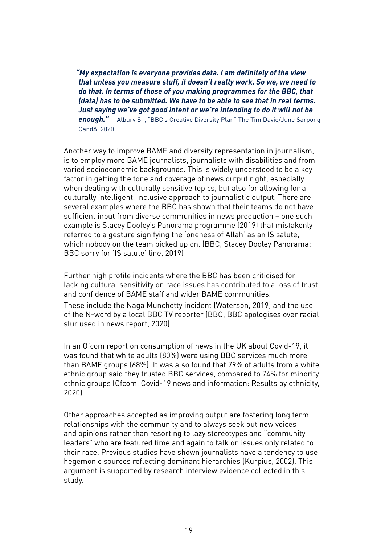*"My expectation is everyone provides data. I am definitely of the view that unless you measure stuff, it doesn't really work. So we, we need to do that. In terms of those of you making programmes for the BBC, that (data) has to be submitted. We have to be able to see that in real terms. Just saying we've got good intent or we're intending to do it will not be enough."* - Albury S. , "BBC's Creative Diversity Plan" The Tim Davie/June Sarpong QandA, 2020

Another way to improve BAME and diversity representation in journalism, is to employ more BAME journalists, journalists with disabilities and from varied socioeconomic backgrounds. This is widely understood to be a key factor in getting the tone and coverage of news output right, especially when dealing with culturally sensitive topics, but also for allowing for a culturally intelligent, inclusive approach to journalistic output. There are several examples where the BBC has shown that their teams do not have sufficient input from diverse communities in news production – one such example is Stacey Dooley's Panorama programme (2019) that mistakenly referred to a gesture signifying the 'oneness of Allah' as an IS salute, which nobody on the team picked up on. (BBC, Stacey Dooley Panorama: BBC sorry for 'IS salute' line, 2019)

Further high profile incidents where the BBC has been criticised for lacking cultural sensitivity on race issues has contributed to a loss of trust and confidence of BAME staff and wider BAME communities.

These include the Naga Munchetty incident (Waterson, 2019) and the use of the N-word by a local BBC TV reporter (BBC, BBC apologises over racial slur used in news report, 2020).

In an Ofcom report on consumption of news in the UK about Covid-19, it was found that white adults (80%) were using BBC services much more than BAME groups (68%). It was also found that 79% of adults from a white ethnic group said they trusted BBC services, compared to 74% for minority ethnic groups (Ofcom, Covid-19 news and information: Results by ethnicity, 2020).

Other approaches accepted as improving output are fostering long term relationships with the community and to always seek out new voices and opinions rather than resorting to lazy stereotypes and "community leaders" who are featured time and again to talk on issues only related to their race. Previous studies have shown journalists have a tendency to use hegemonic sources reflecting dominant hierarchies (Kurpius, 2002). This argument is supported by research interview evidence collected in this study.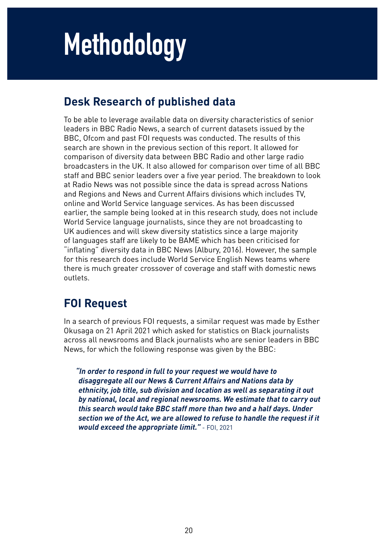# **Methodology**

# **Desk Research of published data**

To be able to leverage available data on diversity characteristics of senior leaders in BBC Radio News, a search of current datasets issued by the BBC, Ofcom and past FOI requests was conducted. The results of this search are shown in the previous section of this report. It allowed for comparison of diversity data between BBC Radio and other large radio broadcasters in the UK. It also allowed for comparison over time of all BBC staff and BBC senior leaders over a five year period. The breakdown to look at Radio News was not possible since the data is spread across Nations and Regions and News and Current Affairs divisions which includes TV, online and World Service language services. As has been discussed earlier, the sample being looked at in this research study, does not include World Service language journalists, since they are not broadcasting to UK audiences and will skew diversity statistics since a large majority of languages staff are likely to be BAME which has been criticised for "inflating" diversity data in BBC News (Albury, 2016). However, the sample for this research does include World Service English News teams where there is much greater crossover of coverage and staff with domestic news outlets.

# **FOI Request**

In a search of previous FOI requests, a similar request was made by Esther Okusaga on 21 April 2021 which asked for statistics on Black journalists across all newsrooms and Black journalists who are senior leaders in BBC News, for which the following response was given by the BBC:

*"In order to respond in full to your request we would have to disaggregate all our News & Current Affairs and Nations data by ethnicity, job title, sub division and location as well as separating it out by national, local and regional newsrooms. We estimate that to carry out this search would take BBC staff more than two and a half days. Under section we of the Act, we are allowed to refuse to handle the request if it would exceed the appropriate limit."* - FOI, 2021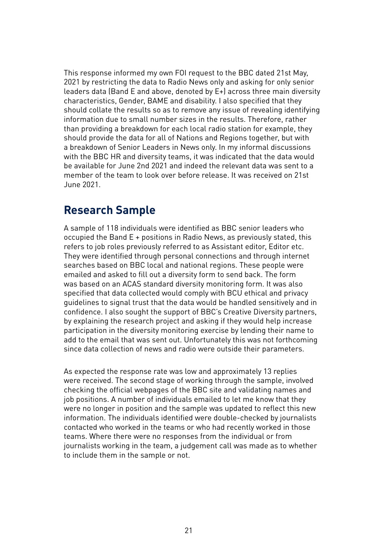This response informed my own FOI request to the BBC dated 21st May, 2021 by restricting the data to Radio News only and asking for only senior leaders data (Band E and above, denoted by E+) across three main diversity characteristics, Gender, BAME and disability. I also specified that they should collate the results so as to remove any issue of revealing identifying information due to small number sizes in the results. Therefore, rather than providing a breakdown for each local radio station for example, they should provide the data for all of Nations and Regions together, but with a breakdown of Senior Leaders in News only. In my informal discussions with the BBC HR and diversity teams, it was indicated that the data would be available for June 2nd 2021 and indeed the relevant data was sent to a member of the team to look over before release. It was received on 21st June 2021.

### **Research Sample**

A sample of 118 individuals were identified as BBC senior leaders who occupied the Band E + positions in Radio News, as previously stated, this refers to job roles previously referred to as Assistant editor, Editor etc. They were identified through personal connections and through internet searches based on BBC local and national regions. These people were emailed and asked to fill out a diversity form to send back. The form was based on an ACAS standard diversity monitoring form. It was also specified that data collected would comply with BCU ethical and privacy guidelines to signal trust that the data would be handled sensitively and in confidence. I also sought the support of BBC's Creative Diversity partners, by explaining the research project and asking if they would help increase participation in the diversity monitoring exercise by lending their name to add to the email that was sent out. Unfortunately this was not forthcoming since data collection of news and radio were outside their parameters.

As expected the response rate was low and approximately 13 replies were received. The second stage of working through the sample, involved checking the official webpages of the BBC site and validating names and job positions. A number of individuals emailed to let me know that they were no longer in position and the sample was updated to reflect this new information. The individuals identified were double-checked by journalists contacted who worked in the teams or who had recently worked in those teams. Where there were no responses from the individual or from journalists working in the team, a judgement call was made as to whether to include them in the sample or not.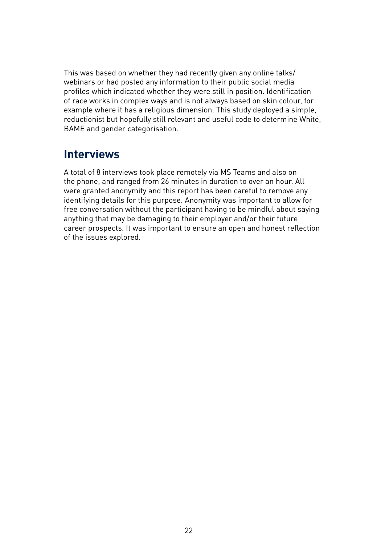This was based on whether they had recently given any online talks/ webinars or had posted any information to their public social media profiles which indicated whether they were still in position. Identification of race works in complex ways and is not always based on skin colour, for example where it has a religious dimension. This study deployed a simple, reductionist but hopefully still relevant and useful code to determine White, BAME and gender categorisation.

## **Interviews**

A total of 8 interviews took place remotely via MS Teams and also on the phone, and ranged from 26 minutes in duration to over an hour. All were granted anonymity and this report has been careful to remove any identifying details for this purpose. Anonymity was important to allow for free conversation without the participant having to be mindful about saying anything that may be damaging to their employer and/or their future career prospects. It was important to ensure an open and honest reflection of the issues explored.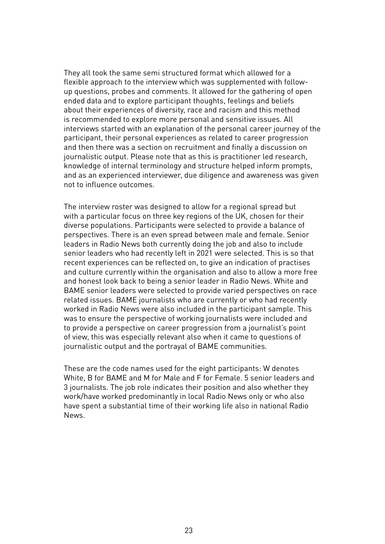They all took the same semi structured format which allowed for a flexible approach to the interview which was supplemented with followup questions, probes and comments. It allowed for the gathering of open ended data and to explore participant thoughts, feelings and beliefs about their experiences of diversity, race and racism and this method is recommended to explore more personal and sensitive issues. All interviews started with an explanation of the personal career journey of the participant, their personal experiences as related to career progression and then there was a section on recruitment and finally a discussion on journalistic output. Please note that as this is practitioner led research, knowledge of internal terminology and structure helped inform prompts, and as an experienced interviewer, due diligence and awareness was given not to influence outcomes.

The interview roster was designed to allow for a regional spread but with a particular focus on three key regions of the UK, chosen for their diverse populations. Participants were selected to provide a balance of perspectives. There is an even spread between male and female. Senior leaders in Radio News both currently doing the job and also to include senior leaders who had recently left in 2021 were selected. This is so that recent experiences can be reflected on, to give an indication of practises and culture currently within the organisation and also to allow a more free and honest look back to being a senior leader in Radio News. White and BAME senior leaders were selected to provide varied perspectives on race related issues. BAME journalists who are currently or who had recently worked in Radio News were also included in the participant sample. This was to ensure the perspective of working journalists were included and to provide a perspective on career progression from a journalist's point of view, this was especially relevant also when it came to questions of journalistic output and the portrayal of BAME communities.

These are the code names used for the eight participants: W denotes White, B for BAME and M for Male and F for Female. 5 senior leaders and 3 journalists. The job role indicates their position and also whether they work/have worked predominantly in local Radio News only or who also have spent a substantial time of their working life also in national Radio News.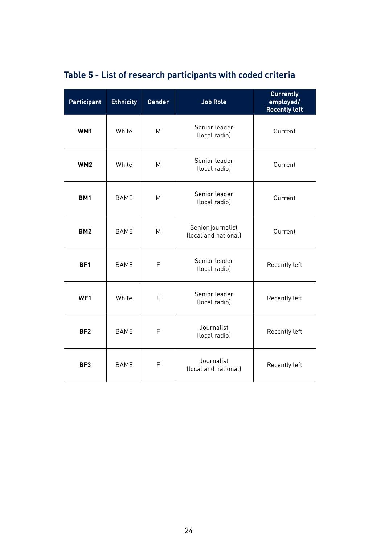| <b>Participant</b> | <b>Ethnicity</b> | Gender      | <b>Job Role</b>                           | <b>Currently</b><br>employed/<br><b>Recently left</b> |
|--------------------|------------------|-------------|-------------------------------------------|-------------------------------------------------------|
| WM1                | White            | M           | Senior leader<br>(local radio)            | Current                                               |
| WM <sub>2</sub>    | White            | М           | Senior leader<br>(local radio)            | Current                                               |
| BM <sub>1</sub>    | <b>BAME</b>      | M           | Senior leader<br>(local radio)            | Current                                               |
| BM <sub>2</sub>    | <b>BAME</b>      | M           | Senior journalist<br>(local and national) | Current                                               |
| BF1                | <b>BAME</b>      | F           | Senior leader<br>(local radio)            | Recently left                                         |
| WF1                | White            | F           | Senior leader<br>(local radio)            | Recently left                                         |
| BF <sub>2</sub>    | <b>BAME</b>      | F           | Journalist<br>(local radio)               | Recently left                                         |
| BF3                | <b>BAME</b>      | $\mathsf F$ | Journalist<br>(local and national)        | Recently left                                         |

## **Table 5 - List of research participants with coded criteria**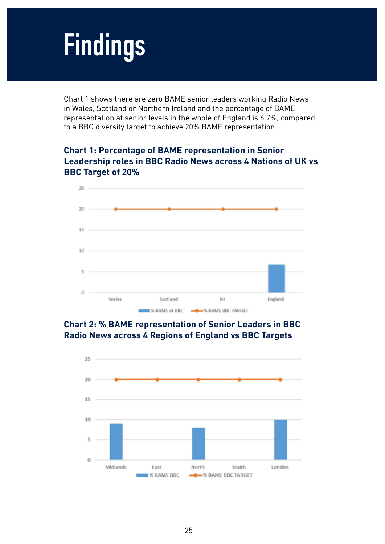# **Findings**

Chart 1 shows there are zero BAME senior leaders working Radio News in Wales, Scotland or Northern Ireland and the percentage of BAME representation at senior levels in the whole of England is 6.7%, compared to a BBC diversity target to achieve 20% BAME representation.

### **Chart 1: Percentage of BAME representation in Senior Leadership roles in BBC Radio News across 4 Nations of UK vs BBC Target of 20%**



**Chart 2: % BAME representation of Senior Leaders in BBC Radio News across 4 Regions of England vs BBC Targets** 

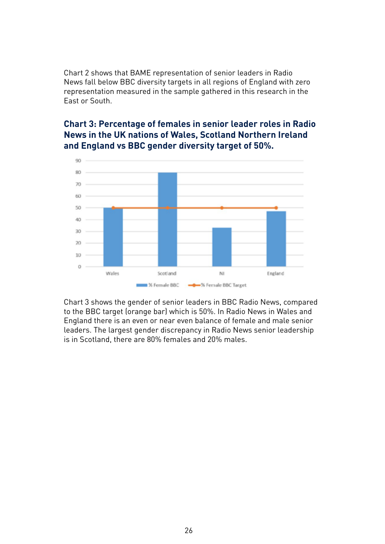Chart 2 shows that BAME representation of senior leaders in Radio News fall below BBC diversity targets in all regions of England with zero representation measured in the sample gathered in this research in the East or South.

#### **Chart 3: Percentage of females in senior leader roles in Radio News in the UK nations of Wales, Scotland Northern Ireland and England vs BBC gender diversity target of 50%.**



Chart 3 shows the gender of senior leaders in BBC Radio News, compared to the BBC target (orange bar) which is 50%. In Radio News in Wales and England there is an even or near even balance of female and male senior leaders. The largest gender discrepancy in Radio News senior leadership is in Scotland, there are 80% females and 20% males.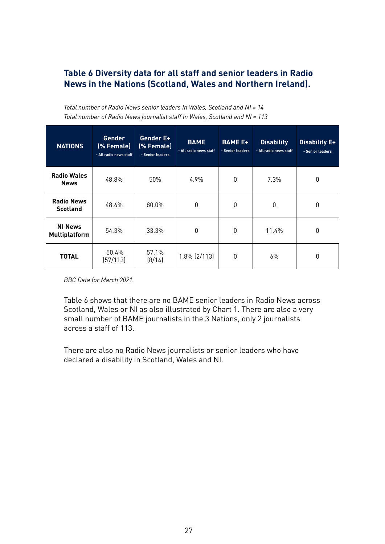### **Table 6 Diversity data for all staff and senior leaders in Radio News in the Nations (Scotland, Wales and Northern Ireland).**

*Total number of Radio News senior leaders In Wales, Scotland and NI = 14 Total number of Radio News journalist staff In Wales, Scotland and NI = 113*

| <b>NATIONS</b>                         | <b>Gender</b><br>(% Female)<br>- All radio news staff | Gender E+<br>(% Female)<br>- Senior leaders | <b>BAME</b><br>- All radio news staff | <b>BAME E+</b><br>- Senior leaders | <b>Disability</b><br>- All radio news staff | <b>Disability E+</b><br>- Senior leaders |
|----------------------------------------|-------------------------------------------------------|---------------------------------------------|---------------------------------------|------------------------------------|---------------------------------------------|------------------------------------------|
| <b>Radio Wales</b><br><b>News</b>      | 48.8%                                                 | 50%                                         | 4.9%                                  | 0                                  | 7.3%                                        | 0                                        |
| <b>Radio News</b><br><b>Scotland</b>   | 48.6%                                                 | 80.0%                                       | 0                                     | 0                                  | $\underline{0}$                             | 0                                        |
| <b>NI News</b><br><b>Multiplatform</b> | 54.3%                                                 | 33.3%                                       | 0                                     | 0                                  | 11.4%                                       | 0                                        |
| <b>TOTAL</b>                           | 50.4%<br>(57/113)                                     | 57.1%<br>(8/14)                             | $1.8\%$ (2/113)                       | 0                                  | $6\%$                                       | 0                                        |

*BBC Data for March 2021.*

Table 6 shows that there are no BAME senior leaders in Radio News across Scotland, Wales or NI as also illustrated by Chart 1. There are also a very small number of BAME journalists in the 3 Nations, only 2 journalists across a staff of 113.

There are also no Radio News journalists or senior leaders who have declared a disability in Scotland, Wales and NI.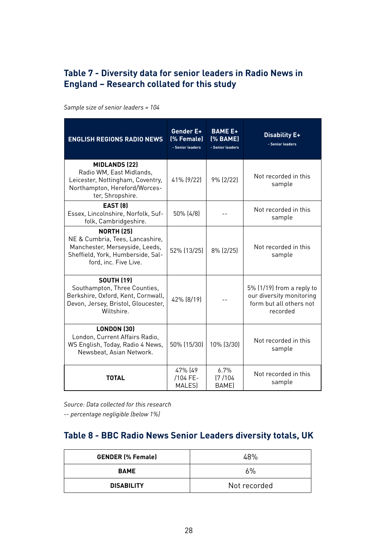### **Table 7 - Diversity data for senior leaders in Radio News in England – Research collated for this study**

*Sample size of senior leaders = 104*

| <b>ENGLISH REGIONS RADIO NEWS</b>                                                                                                                    | Gender E+<br>(% Female)<br>- Senior leaders | <b>BAME E+</b><br>$(%$ BAME)<br>- Senior leaders | <b>Disability E+</b><br>- Senior leaders                                                     |
|------------------------------------------------------------------------------------------------------------------------------------------------------|---------------------------------------------|--------------------------------------------------|----------------------------------------------------------------------------------------------|
| <b>MIDLANDS (22)</b><br>Radio WM, East Midlands,<br>Leicester, Nottingham, Coventry,<br>Northampton, Hereford/Worces-<br>ter, Shropshire.            | 41% (9/22)                                  | 9% (2/22)                                        | Not recorded in this<br>sample                                                               |
| <b>EAST (8)</b><br>Essex, Lincolnshire, Norfolk, Suf-<br>folk, Cambridgeshire.                                                                       | 50% (4/8)                                   |                                                  | Not recorded in this<br>sample                                                               |
| <b>NORTH (25)</b><br>NE & Cumbria, Tees, Lancashire,<br>Manchester, Merseyside, Leeds,<br>Sheffield, York, Humberside, Sal-<br>ford, inc. Five Live. | 52% (13/25)                                 | 8% (2/25)                                        | Not recorded in this<br>sample                                                               |
| <b>SOUTH (19)</b><br>Southampton, Three Counties,<br>Berkshire, Oxford, Kent, Cornwall,<br>Devon, Jersey, Bristol, Gloucester,<br>Wiltshire.         | 42% [8/19]                                  |                                                  | 5% (1/19) from a reply to<br>our diversity monitoring<br>form but all others not<br>recorded |
| <b>LONDON (30)</b><br>London, Current Affairs Radio,<br>WS English, Today, Radio 4 News,<br>Newsbeat, Asian Network.                                 | 50% (15/30)                                 | 10% [3/30]                                       | Not recorded in this<br>sample                                                               |
| <b>TOTAL</b>                                                                                                                                         | 47% (49<br>/104 FE-<br><b>MALES</b>         | 6.7%<br>(7/104)<br>BAME)                         | Not recorded in this<br>sample                                                               |

*Source: Data collected for this research -- percentage negligible (below 1%)*

### **Table 8 - BBC Radio News Senior Leaders diversity totals, UK**

| <b>GENDER (% Female)</b> | 48%          |
|--------------------------|--------------|
| <b>BAME</b>              | $6\%$        |
| <b>DISABILITY</b>        | Not recorded |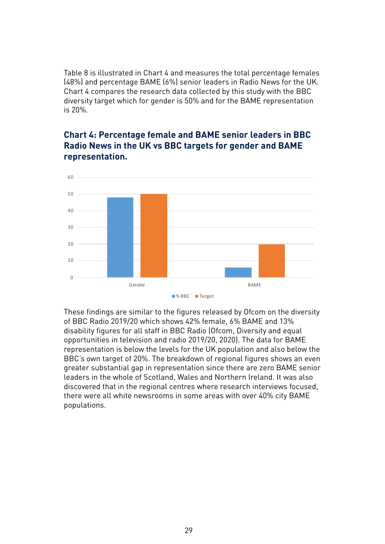Table 8 is illustrated in Chart 4 and measures the total percentage females (48%) and percentage BAME (6%) senior leaders in Radio News for the UK. Chart 4 compares the research data collected by this study with the BBC diversity target which for gender is 50% and for the BAME representation is 20%.

#### **Chart 4: Percentage female and BAME senior leaders in BBC Radio News in the UK vs BBC targets for gender and BAME representation.**



These findings are similar to the figures released by Ofcom on the diversity of BBC Radio 2019/20 which shows 42% female, 6% BAME and 13% disability figures for all staff in BBC Radio (Ofcom, Diversity and equal opportunities in television and radio 2019/20, 2020). The data for BAME representation is below the levels for the UK population and also below the BBC's own target of 20%. The breakdown of regional figures shows an even greater substantial gap in representation since there are zero BAME senior leaders in the whole of Scotland, Wales and Northern Ireland. It was also discovered that in the regional centres where research interviews focused, there were all white newsrooms in some areas with over 40% city BAME populations.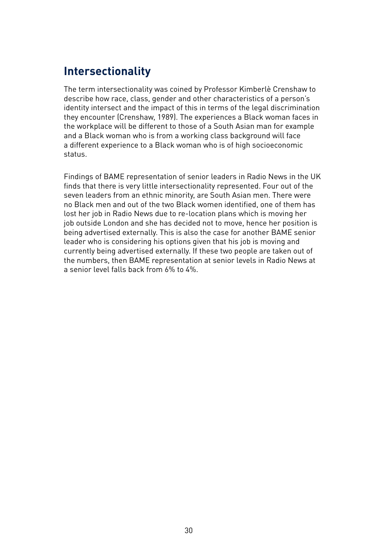## **Intersectionality**

The term intersectionality was coined by Professor Kimberlè Crenshaw to describe how race, class, gender and other characteristics of a person's identity intersect and the impact of this in terms of the legal discrimination they encounter (Crenshaw, 1989). The experiences a Black woman faces in the workplace will be different to those of a South Asian man for example and a Black woman who is from a working class background will face a different experience to a Black woman who is of high socioeconomic status.

Findings of BAME representation of senior leaders in Radio News in the UK finds that there is very little intersectionality represented. Four out of the seven leaders from an ethnic minority, are South Asian men. There were no Black men and out of the two Black women identified, one of them has lost her job in Radio News due to re-location plans which is moving her job outside London and she has decided not to move, hence her position is being advertised externally. This is also the case for another BAME senior leader who is considering his options given that his job is moving and currently being advertised externally. If these two people are taken out of the numbers, then BAME representation at senior levels in Radio News at a senior level falls back from 6% to 4%.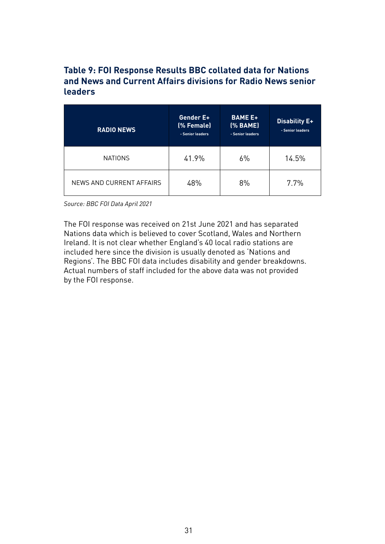### **Table 9: FOI Response Results BBC collated data for Nations and News and Current Affairs divisions for Radio News senior leaders**

| <b>RADIO NEWS</b>        | Gender E+<br>(% Female)<br>- Senior leaders | <b>BAME E+</b><br>(% BAME)<br>- Senior leaders | <b>Disability E+</b><br>- Senior leaders |
|--------------------------|---------------------------------------------|------------------------------------------------|------------------------------------------|
| <b>NATIONS</b>           | 41.9%                                       | 6%                                             | 14.5%                                    |
| NEWS AND CURRENT AFFAIRS | 48%                                         | 8%                                             | 7.7%                                     |

*Source: BBC FOI Data April 2021*

The FOI response was received on 21st June 2021 and has separated Nations data which is believed to cover Scotland, Wales and Northern Ireland. It is not clear whether England's 40 local radio stations are included here since the division is usually denoted as 'Nations and Regions'. The BBC FOI data includes disability and gender breakdowns. Actual numbers of staff included for the above data was not provided by the FOI response.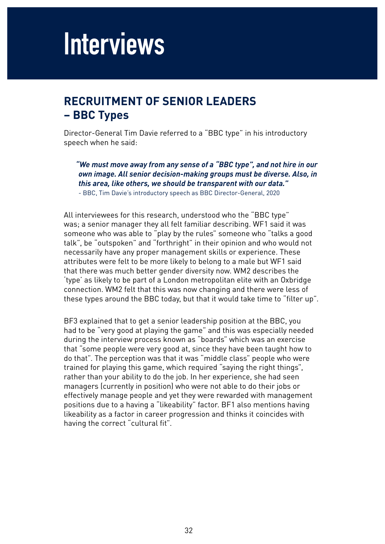# **Interviews**

# **RECRUITMENT OF SENIOR LEADERS – BBC Types**

Director-General Tim Davie referred to a "BBC type" in his introductory speech when he said:

*"We must move away from any sense of a "BBC type", and not hire in our own image. All senior decision-making groups must be diverse. Also, in this area, like others, we should be transparent with our data."*  - BBC, Tim Davie's introductory speech as BBC Director-General, 2020

All interviewees for this research, understood who the "BBC type"

was; a senior manager they all felt familiar describing. WF1 said it was someone who was able to "play by the rules" someone who "talks a good talk", be "outspoken" and "forthright" in their opinion and who would not necessarily have any proper management skills or experience. These attributes were felt to be more likely to belong to a male but WF1 said that there was much better gender diversity now. WM2 describes the 'type' as likely to be part of a London metropolitan elite with an Oxbridge connection. WM2 felt that this was now changing and there were less of these types around the BBC today, but that it would take time to "filter up".

BF3 explained that to get a senior leadership position at the BBC, you had to be "very good at playing the game" and this was especially needed during the interview process known as "boards" which was an exercise that "some people were very good at, since they have been taught how to do that". The perception was that it was "middle class" people who were trained for playing this game, which required "saying the right things", rather than your ability to do the job. In her experience, she had seen managers (currently in position) who were not able to do their jobs or effectively manage people and yet they were rewarded with management positions due to a having a "likeability" factor. BF1 also mentions having likeability as a factor in career progression and thinks it coincides with having the correct "cultural fit".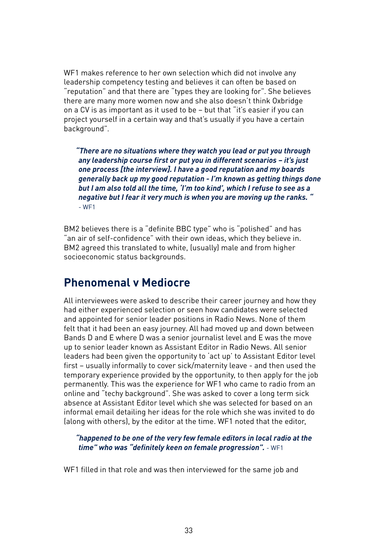WF1 makes reference to her own selection which did not involve any leadership competency testing and believes it can often be based on "reputation" and that there are "types they are looking for". She believes there are many more women now and she also doesn't think Oxbridge on a CV is as important as it used to be – but that "it's easier if you can project yourself in a certain way and that's usually if you have a certain background".

*"There are no situations where they watch you lead or put you through any leadership course first or put you in different scenarios – it's just one process [the interview]. I have a good reputation and my boards generally back up my good reputation - I'm known as getting things done but I am also told all the time, 'I'm too kind', which I refuse to see as a negative but I fear it very much is when you are moving up the ranks. "*  - WF1

BM2 believes there is a "definite BBC type" who is "polished" and has "an air of self-confidence" with their own ideas, which they believe in. BM2 agreed this translated to white, (usually) male and from higher socioeconomic status backgrounds.

### **Phenomenal v Mediocre**

All interviewees were asked to describe their career journey and how they had either experienced selection or seen how candidates were selected and appointed for senior leader positions in Radio News. None of them felt that it had been an easy journey. All had moved up and down between Bands D and E where D was a senior journalist level and E was the move up to senior leader known as Assistant Editor in Radio News. All senior leaders had been given the opportunity to 'act up' to Assistant Editor level first – usually informally to cover sick/maternity leave - and then used the temporary experience provided by the opportunity, to then apply for the job permanently. This was the experience for WF1 who came to radio from an online and "techy background". She was asked to cover a long term sick absence at Assistant Editor level which she was selected for based on an informal email detailing her ideas for the role which she was invited to do (along with others), by the editor at the time. WF1 noted that the editor,

*"happened to be one of the very few female editors in local radio at the time" who was "definitely keen on female progression".* - WF1

WF1 filled in that role and was then interviewed for the same job and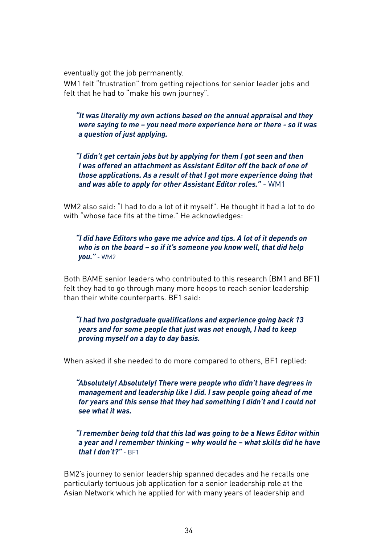eventually got the job permanently.

WM1 felt "frustration" from getting rejections for senior leader jobs and felt that he had to "make his own journey".

#### *"It was literally my own actions based on the annual appraisal and they were saying to me – you need more experience here or there - so it was a question of just applying.*

#### *"I didn't get certain jobs but by applying for them I got seen and then I was offered an attachment as Assistant Editor off the back of one of those applications. As a result of that I got more experience doing that and was able to apply for other Assistant Editor roles."* - WM1

WM2 also said: "I had to do a lot of it myself". He thought it had a lot to do with "whose face fits at the time." He acknowledges:

*"I did have Editors who gave me advice and tips. A lot of it depends on who is on the board – so if it's someone you know well, that did help you."* - WM2

Both BAME senior leaders who contributed to this research (BM1 and BF1) felt they had to go through many more hoops to reach senior leadership than their white counterparts. BF1 said:

*"I had two postgraduate qualifications and experience going back 13 years and for some people that just was not enough, I had to keep proving myself on a day to day basis.* 

When asked if she needed to do more compared to others, BF1 replied:

*"Absolutely! Absolutely! There were people who didn't have degrees in management and leadership like I did. I saw people going ahead of me for years and this sense that they had something I didn't and I could not see what it was.*

*"I remember being told that this lad was going to be a News Editor within a year and I remember thinking – why would he – what skills did he have that I don't?"* - BF1

BM2's journey to senior leadership spanned decades and he recalls one particularly tortuous job application for a senior leadership role at the Asian Network which he applied for with many years of leadership and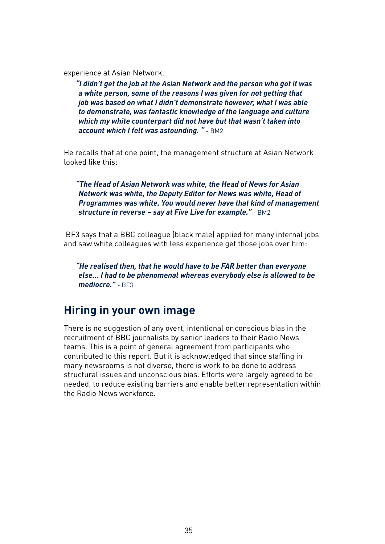experience at Asian Network.

*"I didn't get the job at the Asian Network and the person who got it was a white person, some of the reasons I was given for not getting that job was based on what I didn't demonstrate however, what I was able to demonstrate, was fantastic knowledge of the language and culture which my white counterpart did not have but that wasn't taken into account which I felt was astounding. "* - BM2

He recalls that at one point, the management structure at Asian Network looked like this:

#### *"The Head of Asian Network was white, the Head of News for Asian Network was white, the Deputy Editor for News was white, Head of Programmes was white. You would never have that kind of management structure in reverse – say at Five Live for example."* - BM2

 BF3 says that a BBC colleague (black male) applied for many internal jobs and saw white colleagues with less experience get those jobs over him:

*"He realised then, that he would have to be FAR better than everyone else… I had to be phenomenal whereas everybody else is allowed to be mediocre."* - BF3

### **Hiring in your own image**

There is no suggestion of any overt, intentional or conscious bias in the recruitment of BBC journalists by senior leaders to their Radio News teams. This is a point of general agreement from participants who contributed to this report. But it is acknowledged that since staffing in many newsrooms is not diverse, there is work to be done to address structural issues and unconscious bias. Efforts were largely agreed to be needed, to reduce existing barriers and enable better representation within the Radio News workforce.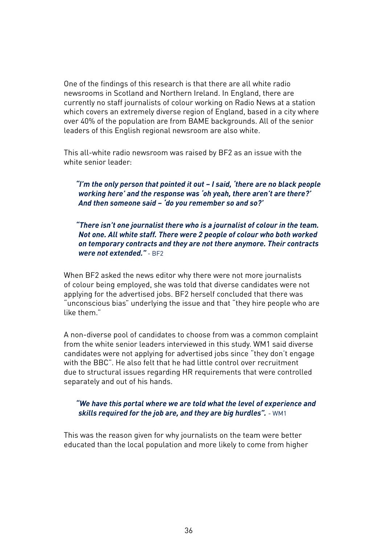One of the findings of this research is that there are all white radio newsrooms in Scotland and Northern Ireland. In England, there are currently no staff journalists of colour working on Radio News at a station which covers an extremely diverse region of England, based in a city where over 40% of the population are from BAME backgrounds. All of the senior leaders of this English regional newsroom are also white.

This all-white radio newsroom was raised by BF2 as an issue with the white senior leader:

*"I'm the only person that pointed it out – I said, 'there are no black people working here' and the response was 'oh yeah, there aren't are there?' And then someone said – 'do you remember so and so?'*

*"There isn't one journalist there who is a journalist of colour in the team. Not one. All white staff. There were 2 people of colour who both worked on temporary contracts and they are not there anymore. Their contracts were not extended."* - BF2

When BF2 asked the news editor why there were not more journalists of colour being employed, she was told that diverse candidates were not applying for the advertised jobs. BF2 herself concluded that there was "unconscious bias" underlying the issue and that "they hire people who are like them."

A non-diverse pool of candidates to choose from was a common complaint from the white senior leaders interviewed in this study. WM1 said diverse candidates were not applying for advertised jobs since "they don't engage with the BBC". He also felt that he had little control over recruitment due to structural issues regarding HR requirements that were controlled separately and out of his hands.

#### *"We have this portal where we are told what the level of experience and skills required for the job are, and they are big hurdles".* - WM1

This was the reason given for why journalists on the team were better educated than the local population and more likely to come from higher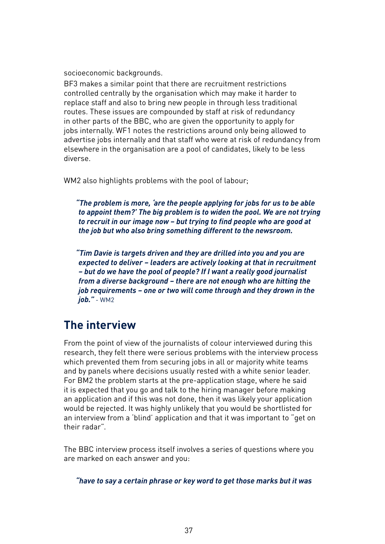socioeconomic backgrounds.

BF3 makes a similar point that there are recruitment restrictions controlled centrally by the organisation which may make it harder to replace staff and also to bring new people in through less traditional routes. These issues are compounded by staff at risk of redundancy in other parts of the BBC, who are given the opportunity to apply for jobs internally. WF1 notes the restrictions around only being allowed to advertise jobs internally and that staff who were at risk of redundancy from elsewhere in the organisation are a pool of candidates, likely to be less diverse.

WM2 also highlights problems with the pool of labour;

*"The problem is more, 'are the people applying for jobs for us to be able to appoint them?' The big problem is to widen the pool. We are not trying to recruit in our image now – but trying to find people who are good at the job but who also bring something different to the newsroom.* 

*"Tim Davie is targets driven and they are drilled into you and you are expected to deliver – leaders are actively looking at that in recruitment – but do we have the pool of people? If I want a really good journalist from a diverse background – there are not enough who are hitting the job requirements – one or two will come through and they drown in the job."* - WM2

## **The interview**

From the point of view of the journalists of colour interviewed during this research, they felt there were serious problems with the interview process which prevented them from securing jobs in all or majority white teams and by panels where decisions usually rested with a white senior leader. For BM2 the problem starts at the pre-application stage, where he said it is expected that you go and talk to the hiring manager before making an application and if this was not done, then it was likely your application would be rejected. It was highly unlikely that you would be shortlisted for an interview from a 'blind' application and that it was important to "get on their radar".

The BBC interview process itself involves a series of questions where you are marked on each answer and you:

*"have to say a certain phrase or key word to get those marks but it was*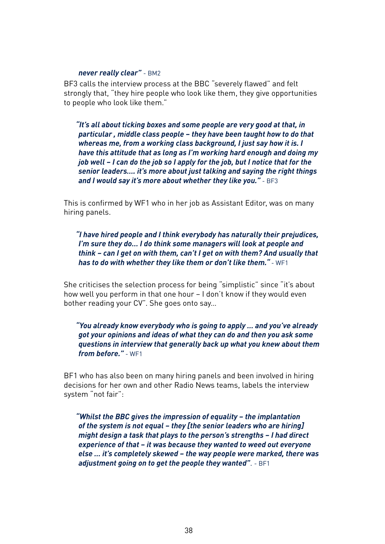#### *never really clear"* - BM2

BF3 calls the interview process at the BBC "severely flawed" and felt strongly that, "they hire people who look like them, they give opportunities to people who look like them."

*"It's all about ticking boxes and some people are very good at that, in particular , middle class people – they have been taught how to do that whereas me, from a working class background, I just say how it is. I have this attitude that as long as I'm working hard enough and doing my job well – I can do the job so I apply for the job, but I notice that for the senior leaders…. it's more about just talking and saying the right things and I would say it's more about whether they like you."* - BF3

This is confirmed by WF1 who in her job as Assistant Editor, was on many hiring panels.

*"I have hired people and I think everybody has naturally their prejudices, I'm sure they do… I do think some managers will look at people and think – can I get on with them, can't I get on with them? And usually that has to do with whether they like them or don't like them."* - WF1

She criticises the selection process for being "simplistic" since "it's about how well you perform in that one hour – I don't know if they would even bother reading your CV". She goes onto say…

*"You already know everybody who is going to apply … and you've already got your opinions and ideas of what they can do and then you ask some questions in interview that generally back up what you knew about them from before."* - WF1

BF1 who has also been on many hiring panels and been involved in hiring decisions for her own and other Radio News teams, labels the interview system "not fair":

*"Whilst the BBC gives the impression of equality – the implantation of the system is not equal – they [the senior leaders who are hiring] might design a task that plays to the person's strengths – I had direct experience of that – it was because they wanted to weed out everyone else … it's completely skewed – the way people were marked, there was adjustment going on to get the people they wanted"*. - BF1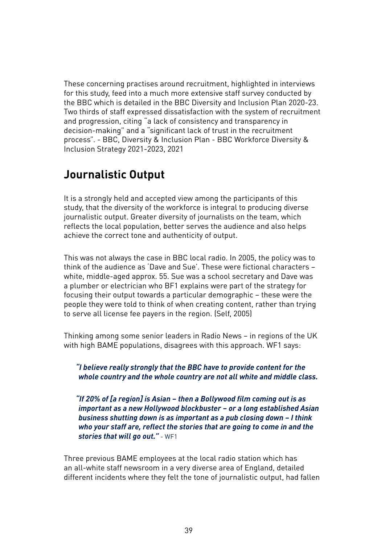These concerning practises around recruitment, highlighted in interviews for this study, feed into a much more extensive staff survey conducted by the BBC which is detailed in the BBC Diversity and Inclusion Plan 2020-23. Two thirds of staff expressed dissatisfaction with the system of recruitment and progression, citing "a lack of consistency and transparency in decision-making" and a "significant lack of trust in the recruitment process". - BBC, Diversity & Inclusion Plan - BBC Workforce Diversity & Inclusion Strategy 2021-2023, 2021

## **Journalistic Output**

It is a strongly held and accepted view among the participants of this study, that the diversity of the workforce is integral to producing diverse journalistic output. Greater diversity of journalists on the team, which reflects the local population, better serves the audience and also helps achieve the correct tone and authenticity of output.

This was not always the case in BBC local radio. In 2005, the policy was to think of the audience as 'Dave and Sue'. These were fictional characters – white, middle-aged approx. 55. Sue was a school secretary and Dave was a plumber or electrician who BF1 explains were part of the strategy for focusing their output towards a particular demographic – these were the people they were told to think of when creating content, rather than trying to serve all license fee payers in the region. (Self, 2005)

Thinking among some senior leaders in Radio News – in regions of the UK with high BAME populations, disagrees with this approach. WF1 says:

*"I believe really strongly that the BBC have to provide content for the whole country and the whole country are not all white and middle class.* 

*"If 20% of [a region] is Asian – then a Bollywood film coming out is as important as a new Hollywood blockbuster – or a long established Asian business shutting down is as important as a pub closing down – I think who your staff are, reflect the stories that are going to come in and the stories that will go out."* - WF1

Three previous BAME employees at the local radio station which has an all-white staff newsroom in a very diverse area of England, detailed different incidents where they felt the tone of journalistic output, had fallen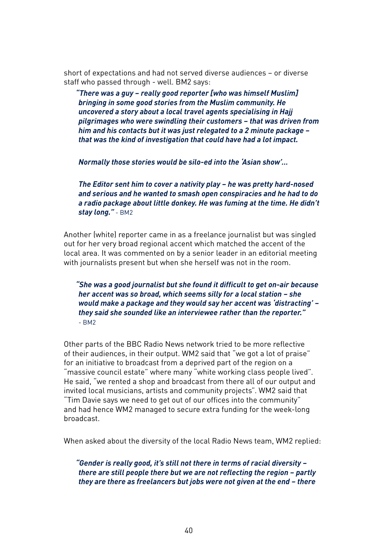short of expectations and had not served diverse audiences – or diverse staff who passed through - well. BM2 says:

*"There was a guy – really good reporter [who was himself Muslim] bringing in some good stories from the Muslim community. He uncovered a story about a local travel agents specialising in Hajj pilgrimages who were swindling their customers – that was driven from him and his contacts but it was just relegated to a 2 minute package – that was the kind of investigation that could have had a lot impact.* 

*Normally those stories would be silo-ed into the 'Asian show'…* 

*The Editor sent him to cover a nativity play – he was pretty hard-nosed and serious and he wanted to smash open conspiracies and he had to do a radio package about little donkey. He was fuming at the time. He didn't stay long."* - BM2

Another (white) reporter came in as a freelance journalist but was singled out for her very broad regional accent which matched the accent of the local area. It was commented on by a senior leader in an editorial meeting with journalists present but when she herself was not in the room.

*"She was a good journalist but she found it difficult to get on-air because her accent was so broad, which seems silly for a local station – she would make a package and they would say her accent was 'distracting' – they said she sounded like an interviewee rather than the reporter."*  - BM2

Other parts of the BBC Radio News network tried to be more reflective of their audiences, in their output. WM2 said that "we got a lot of praise" for an initiative to broadcast from a deprived part of the region on a "massive council estate" where many "white working class people lived". He said, "we rented a shop and broadcast from there all of our output and invited local musicians, artists and community projects". WM2 said that "Tim Davie says we need to get out of our offices into the community" and had hence WM2 managed to secure extra funding for the week-long broadcast.

When asked about the diversity of the local Radio News team, WM2 replied:

*"Gender is really good, it's still not there in terms of racial diversity – there are still people there but we are not reflecting the region – partly they are there as freelancers but jobs were not given at the end – there*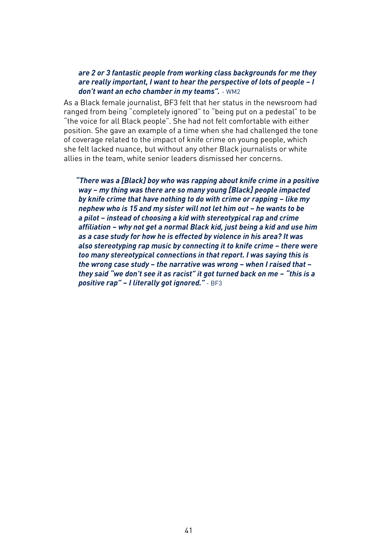#### *are 2 or 3 fantastic people from working class backgrounds for me they are really important, I want to hear the perspective of lots of people – I don't want an echo chamber in my teams".* - WM2

As a Black female journalist, BF3 felt that her status in the newsroom had ranged from being "completely ignored" to "being put on a pedestal" to be "the voice for all Black people". She had not felt comfortable with either position. She gave an example of a time when she had challenged the tone of coverage related to the impact of knife crime on young people, which she felt lacked nuance, but without any other Black journalists or white allies in the team, white senior leaders dismissed her concerns.

*"There was a [Black] boy who was rapping about knife crime in a positive way – my thing was there are so many young [Black] people impacted by knife crime that have nothing to do with crime or rapping – like my nephew who is 15 and my sister will not let him out – he wants to be a pilot – instead of choosing a kid with stereotypical rap and crime affiliation – why not get a normal Black kid, just being a kid and use him as a case study for how he is effected by violence in his area? It was also stereotyping rap music by connecting it to knife crime – there were too many stereotypical connections in that report. I was saying this is the wrong case study – the narrative was wrong – when I raised that – they said "we don't see it as racist" it got turned back on me – "this is a positive rap" – I literally got ignored."* - BF3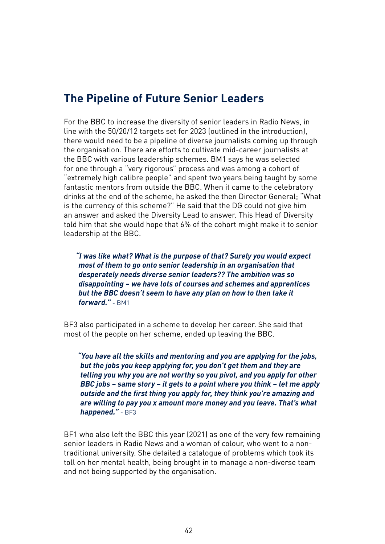## **The Pipeline of Future Senior Leaders**

For the BBC to increase the diversity of senior leaders in Radio News, in line with the 50/20/12 targets set for 2023 (outlined in the introduction), there would need to be a pipeline of diverse journalists coming up through the organisation. There are efforts to cultivate mid-career journalists at the BBC with various leadership schemes. BM1 says he was selected for one through a "very rigorous" process and was among a cohort of "extremely high calibre people" and spent two years being taught by some fantastic mentors from outside the BBC. When it came to the celebratory drinks at the end of the scheme, he asked the then Director General; "What is the currency of this scheme?" He said that the DG could not give him an answer and asked the Diversity Lead to answer. This Head of Diversity told him that she would hope that 6% of the cohort might make it to senior leadership at the BBC.

*"I was like what? What is the purpose of that? Surely you would expect most of them to go onto senior leadership in an organisation that desperately needs diverse senior leaders?? The ambition was so disappointing – we have lots of courses and schemes and apprentices but the BBC doesn't seem to have any plan on how to then take it forward."* - BM1

BF3 also participated in a scheme to develop her career. She said that most of the people on her scheme, ended up leaving the BBC.

*"You have all the skills and mentoring and you are applying for the jobs, but the jobs you keep applying for, you don't get them and they are telling you why you are not worthy so you pivot, and you apply for other BBC jobs – same story – it gets to a point where you think – let me apply outside and the first thing you apply for, they think you're amazing and are willing to pay you x amount more money and you leave. That's what happened."* - BF3

BF1 who also left the BBC this year (2021) as one of the very few remaining senior leaders in Radio News and a woman of colour, who went to a nontraditional university. She detailed a catalogue of problems which took its toll on her mental health, being brought in to manage a non-diverse team and not being supported by the organisation.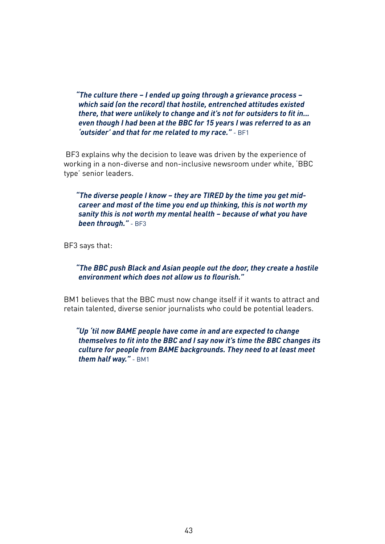*"The culture there – I ended up going through a grievance process – which said (on the record) that hostile, entrenched attitudes existed there, that were unlikely to change and it's not for outsiders to fit in... even though I had been at the BBC for 15 years I was referred to as an 'outsider' and that for me related to my race."* - BF1

 BF3 explains why the decision to leave was driven by the experience of working in a non-diverse and non-inclusive newsroom under white, 'BBC type' senior leaders.

*"The diverse people I know – they are TIRED by the time you get midcareer and most of the time you end up thinking, this is not worth my sanity this is not worth my mental health – because of what you have been through."* - BF3

BF3 says that:

*"The BBC push Black and Asian people out the door, they create a hostile environment which does not allow us to flourish."* 

BM1 believes that the BBC must now change itself if it wants to attract and retain talented, diverse senior journalists who could be potential leaders.

*"Up 'til now BAME people have come in and are expected to change themselves to fit into the BBC and I say now it's time the BBC changes its culture for people from BAME backgrounds. They need to at least meet them half way."* - BM1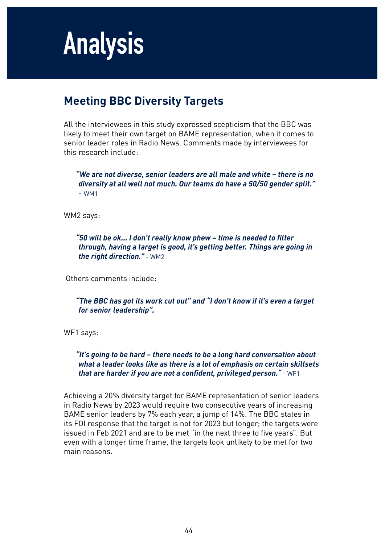

# **Meeting BBC Diversity Targets**

All the interviewees in this study expressed scepticism that the BBC was likely to meet their own target on BAME representation, when it comes to senior leader roles in Radio News. Comments made by interviewees for this research include:

*"We are not diverse, senior leaders are all male and white – there is no diversity at all well not much. Our teams do have a 50/50 gender split."*  $-WM1$ 

WM2 says:

*"50 will be ok... I don't really know phew – time is needed to filter through, having a target is good, it's getting better. Things are going in the right direction."* - WM2

Others comments include:

*"The BBC has got its work cut out" and "I don't know if it's even a target for senior leadership".*

WF1 says:

*"It's going to be hard – there needs to be a long hard conversation about what a leader looks like as there is a lot of emphasis on certain skillsets that are harder if you are not a confident, privileged person."* - WF1

Achieving a 20% diversity target for BAME representation of senior leaders in Radio News by 2023 would require two consecutive years of increasing BAME senior leaders by 7% each year, a jump of 14%. The BBC states in its FOI response that the target is not for 2023 but longer; the targets were issued in Feb 2021 and are to be met "in the next three to five years". But even with a longer time frame, the targets look unlikely to be met for two main reasons.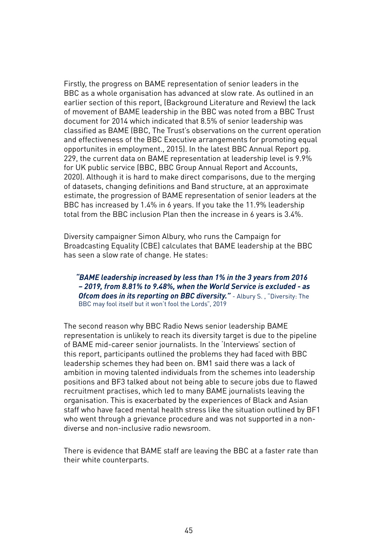Firstly, the progress on BAME representation of senior leaders in the BBC as a whole organisation has advanced at slow rate. As outlined in an earlier section of this report, (Background Literature and Review) the lack of movement of BAME leadership in the BBC was noted from a BBC Trust document for 2014 which indicated that 8.5% of senior leadership was classified as BAME (BBC, The Trust's observations on the current operation and effectiveness of the BBC Executive arrangements for promoting equal opportunites in employment., 2015). In the latest BBC Annual Report pg. 229, the current data on BAME representation at leadership level is 9.9% for UK public service (BBC, BBC Group Annual Report and Accounts, 2020). Although it is hard to make direct comparisons, due to the merging of datasets, changing definitions and Band structure, at an approximate estimate, the progression of BAME representation of senior leaders at the BBC has increased by 1.4% in 6 years. If you take the 11.9% leadership total from the BBC inclusion Plan then the increase in 6 years is 3.4%.

Diversity campaigner Simon Albury, who runs the Campaign for Broadcasting Equality (CBE) calculates that BAME leadership at the BBC has seen a slow rate of change. He states:

*"BAME leadership increased by less than 1% in the 3 years from 2016 – 2019, from 8.81% to 9.48%, when the World Service is excluded - as Ofcom does in its reporting on BBC diversity."* - Albury S. , "Diversity: The BBC may fool itself but it won't fool the Lords", 2019

The second reason why BBC Radio News senior leadership BAME representation is unlikely to reach its diversity target is due to the pipeline of BAME mid-career senior journalists. In the 'Interviews' section of this report, participants outlined the problems they had faced with BBC leadership schemes they had been on. BM1 said there was a lack of ambition in moving talented individuals from the schemes into leadership positions and BF3 talked about not being able to secure jobs due to flawed recruitment practises, which led to many BAME journalists leaving the organisation. This is exacerbated by the experiences of Black and Asian staff who have faced mental health stress like the situation outlined by BF1 who went through a grievance procedure and was not supported in a nondiverse and non-inclusive radio newsroom.

There is evidence that BAME staff are leaving the BBC at a faster rate than their white counterparts.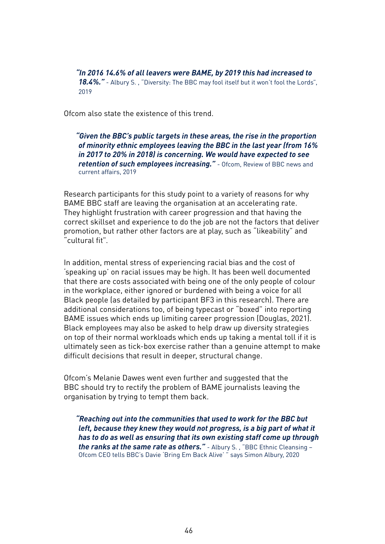*"In 2016 14.6% of all leavers were BAME, by 2019 this had increased to 18.4%."* - Albury S. , "Diversity: The BBC may fool itself but it won't fool the Lords", 2019

Ofcom also state the existence of this trend.

*"Given the BBC's public targets in these areas, the rise in the proportion of minority ethnic employees leaving the BBC in the last year (from 16% in 2017 to 20% in 2018) is concerning. We would have expected to see retention of such employees increasing."* - Ofcom, Review of BBC news and current affairs, 2019

Research participants for this study point to a variety of reasons for why BAME BBC staff are leaving the organisation at an accelerating rate. They highlight frustration with career progression and that having the correct skillset and experience to do the job are not the factors that deliver promotion, but rather other factors are at play, such as "likeability" and "cultural fit".

In addition, mental stress of experiencing racial bias and the cost of 'speaking up' on racial issues may be high. It has been well documented that there are costs associated with being one of the only people of colour in the workplace, either ignored or burdened with being a voice for all Black people (as detailed by participant BF3 in this research). There are additional considerations too, of being typecast or "boxed" into reporting BAME issues which ends up limiting career progression (Douglas, 2021). Black employees may also be asked to help draw up diversity strategies on top of their normal workloads which ends up taking a mental toll if it is ultimately seen as tick-box exercise rather than a genuine attempt to make difficult decisions that result in deeper, structural change.

Ofcom's Melanie Dawes went even further and suggested that the BBC should try to rectify the problem of BAME journalists leaving the organisation by trying to tempt them back.

*"Reaching out into the communities that used to work for the BBC but left, because they knew they would not progress, is a big part of what it has to do as well as ensuring that its own existing staff come up through the ranks at the same rate as others."* - Albury S. , "BBC Ethnic Cleansing – Ofcom CEO tells BBC's Davie 'Bring Em Back Alive' " says Simon Albury, 2020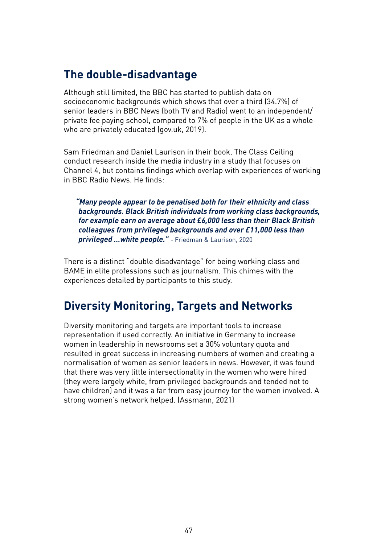## **The double-disadvantage**

Although still limited, the BBC has started to publish data on socioeconomic backgrounds which shows that over a third (34.7%) of senior leaders in BBC News (both TV and Radio) went to an independent/ private fee paying school, compared to 7% of people in the UK as a whole who are privately educated (gov.uk, 2019).

Sam Friedman and Daniel Laurison in their book, The Class Ceiling conduct research inside the media industry in a study that focuses on Channel 4, but contains findings which overlap with experiences of working in BBC Radio News. He finds:

*"Many people appear to be penalised both for their ethnicity and class backgrounds. Black British individuals from working class backgrounds, for example earn on average about £6,000 less than their Black British colleagues from privileged backgrounds and over £11,000 less than privileged …white people."* - Friedman & Laurison, 2020

There is a distinct "double disadvantage" for being working class and BAME in elite professions such as journalism. This chimes with the experiences detailed by participants to this study.

## **Diversity Monitoring, Targets and Networks**

Diversity monitoring and targets are important tools to increase representation if used correctly. An initiative in Germany to increase women in leadership in newsrooms set a 30% voluntary quota and resulted in great success in increasing numbers of women and creating a normalisation of women as senior leaders in news. However, it was found that there was very little intersectionality in the women who were hired (they were largely white, from privileged backgrounds and tended not to have children) and it was a far from easy journey for the women involved. A strong women's network helped. (Assmann, 2021)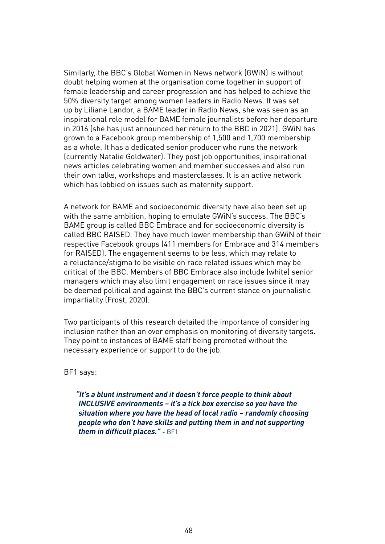Similarly, the BBC's Global Women in News network (GWiN) is without doubt helping women at the organisation come together in support of female leadership and career progression and has helped to achieve the 50% diversity target among women leaders in Radio News. It was set up by Liliane Landor, a BAME leader in Radio News, she was seen as an inspirational role model for BAME female journalists before her departure in 2016 (she has just announced her return to the BBC in 2021). GWiN has grown to a Facebook group membership of 1,500 and 1,700 membership as a whole. It has a dedicated senior producer who runs the network (currently Natalie Goldwater). They post job opportunities, inspirational news articles celebrating women and member successes and also run their own talks, workshops and masterclasses. It is an active network which has lobbied on issues such as maternity support.

A network for BAME and socioeconomic diversity have also been set up with the same ambition, hoping to emulate GWiN's success. The BBC's BAME group is called BBC Embrace and for socioeconomic diversity is called BBC RAISED. They have much lower membership than GWiN of their respective Facebook groups (411 members for Embrace and 314 members for RAISED). The engagement seems to be less, which may relate to a reluctance/stigma to be visible on race related issues which may be critical of the BBC. Members of BBC Embrace also include (white) senior managers which may also limit engagement on race issues since it may be deemed political and against the BBC's current stance on journalistic impartiality (Frost, 2020).

Two participants of this research detailed the importance of considering inclusion rather than an over emphasis on monitoring of diversity targets. They point to instances of BAME staff being promoted without the necessary experience or support to do the job.

BF1 says:

*"It's a blunt instrument and it doesn't force people to think about INCLUSIVE environments – it's a tick box exercise so you have the situation where you have the head of local radio – randomly choosing people who don't have skills and putting them in and not supporting them in difficult places."* - BF1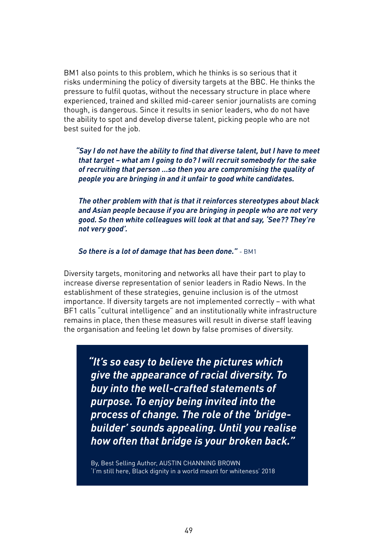BM1 also points to this problem, which he thinks is so serious that it risks undermining the policy of diversity targets at the BBC. He thinks the pressure to fulfil quotas, without the necessary structure in place where experienced, trained and skilled mid-career senior journalists are coming though, is dangerous. Since it results in senior leaders, who do not have the ability to spot and develop diverse talent, picking people who are not best suited for the job.

*"Say I do not have the ability to find that diverse talent, but I have to meet that target – what am I going to do? I will recruit somebody for the sake of recruiting that person …so then you are compromising the quality of people you are bringing in and it unfair to good white candidates.* 

*The other problem with that is that it reinforces stereotypes about black and Asian people because if you are bringing in people who are not very good. So then white colleagues will look at that and say, 'See?? They're not very good'.* 

*So there is a lot of damage that has been done."* - BM1

Diversity targets, monitoring and networks all have their part to play to increase diverse representation of senior leaders in Radio News. In the establishment of these strategies, genuine inclusion is of the utmost importance. If diversity targets are not implemented correctly – with what BF1 calls "cultural intelligence" and an institutionally white infrastructure remains in place, then these measures will result in diverse staff leaving the organisation and feeling let down by false promises of diversity.

*"It's so easy to believe the pictures which give the appearance of racial diversity. To buy into the well-crafted statements of purpose. To enjoy being invited into the process of change. The role of the 'bridgebuilder' sounds appealing. Until you realise how often that bridge is your broken back."* 

By, Best Selling Author, AUSTIN CHANNING BROWN 'I'm still here, Black dignity in a world meant for whiteness' 2018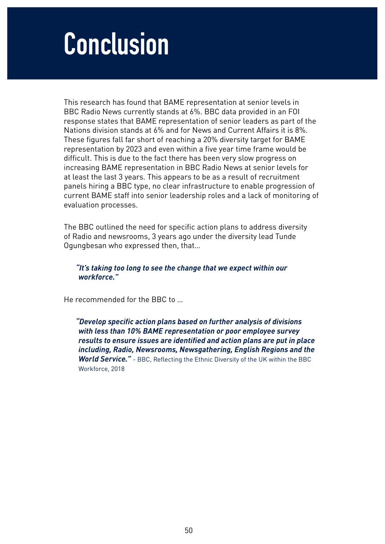# **Conclusion**

This research has found that BAME representation at senior levels in BBC Radio News currently stands at 6%. BBC data provided in an FOI response states that BAME representation of senior leaders as part of the Nations division stands at 6% and for News and Current Affairs it is 8%. These figures fall far short of reaching a 20% diversity target for BAME representation by 2023 and even within a five year time frame would be difficult. This is due to the fact there has been very slow progress on increasing BAME representation in BBC Radio News at senior levels for at least the last 3 years. This appears to be as a result of recruitment panels hiring a BBC type, no clear infrastructure to enable progression of current BAME staff into senior leadership roles and a lack of monitoring of evaluation processes.

The BBC outlined the need for specific action plans to address diversity of Radio and newsrooms, 3 years ago under the diversity lead Tunde Ogungbesan who expressed then, that…

#### *"It's taking too long to see the change that we expect within our workforce."*

He recommended for the BBC to …

*"Develop specific action plans based on further analysis of divisions with less than 10% BAME representation or poor employee survey results to ensure issues are identified and action plans are put in place including, Radio, Newsrooms, Newsgathering, English Regions and the World Service."* - BBC, Reflecting the Ethnic Diversity of the UK within the BBC Workforce, 2018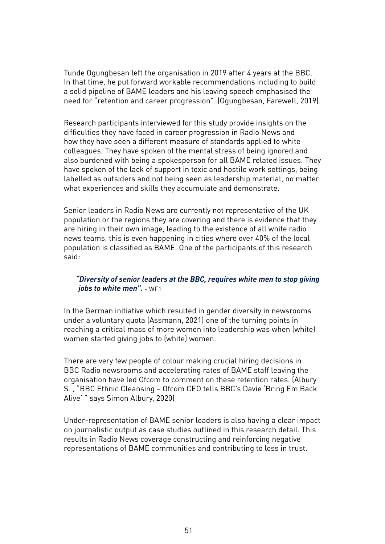Tunde Ogungbesan left the organisation in 2019 after 4 years at the BBC. In that time, he put forward workable recommendations including to build a solid pipeline of BAME leaders and his leaving speech emphasised the need for "retention and career progression". (Ogungbesan, Farewell, 2019).

Research participants interviewed for this study provide insights on the difficulties they have faced in career progression in Radio News and how they have seen a different measure of standards applied to white colleagues. They have spoken of the mental stress of being ignored and also burdened with being a spokesperson for all BAME related issues. They have spoken of the lack of support in toxic and hostile work settings, being labelled as outsiders and not being seen as leadership material, no matter what experiences and skills they accumulate and demonstrate.

Senior leaders in Radio News are currently not representative of the UK population or the regions they are covering and there is evidence that they are hiring in their own image, leading to the existence of all white radio news teams, this is even happening in cities where over 40% of the local population is classified as BAME. One of the participants of this research said:

#### *"Diversity of senior leaders at the BBC, requires white men to stop giving jobs to white men".* - WF1

In the German initiative which resulted in gender diversity in newsrooms under a voluntary quota (Assmann, 2021) one of the turning points in reaching a critical mass of more women into leadership was when (white) women started giving jobs to (white) women.

There are very few people of colour making crucial hiring decisions in BBC Radio newsrooms and accelerating rates of BAME staff leaving the organisation have led Ofcom to comment on these retention rates. (Albury S. , "BBC Ethnic Cleansing – Ofcom CEO tells BBC's Davie 'Bring Em Back Alive' " says Simon Albury, 2020)

Under-representation of BAME senior leaders is also having a clear impact on journalistic output as case studies outlined in this research detail. This results in Radio News coverage constructing and reinforcing negative representations of BAME communities and contributing to loss in trust.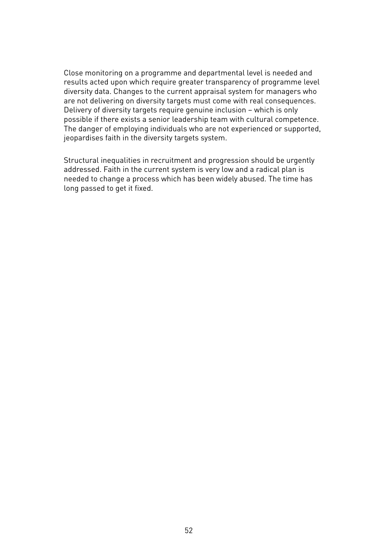Close monitoring on a programme and departmental level is needed and results acted upon which require greater transparency of programme level diversity data. Changes to the current appraisal system for managers who are not delivering on diversity targets must come with real consequences. Delivery of diversity targets require genuine inclusion – which is only possible if there exists a senior leadership team with cultural competence. The danger of employing individuals who are not experienced or supported, jeopardises faith in the diversity targets system.

Structural inequalities in recruitment and progression should be urgently addressed. Faith in the current system is very low and a radical plan is needed to change a process which has been widely abused. The time has long passed to get it fixed.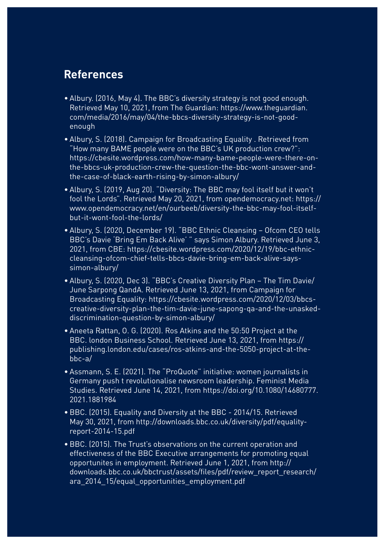### **References**

- Albury. (2016, May 4). The BBC's diversity strategy is not good enough. Retrieved May 10, 2021, from The Guardian: https://www.theguardian. com/media/2016/may/04/the-bbcs-diversity-strategy-is-not-goodenough
- Albury, S. (2018). Campaign for Broadcasting Equality . Retrieved from "How many BAME people were on the BBC's UK production crew?": https://cbesite.wordpress.com/how-many-bame-people-were-there-onthe-bbcs-uk-production-crew-the-question-the-bbc-wont-answer-andthe-case-of-black-earth-rising-by-simon-albury/
- Albury, S. (2019, Aug 20). "Diversity: The BBC may fool itself but it won't fool the Lords". Retrieved May 20, 2021, from opendemocracy.net: https:// www.opendemocracy.net/en/ourbeeb/diversity-the-bbc-may-fool-itselfbut-it-wont-fool-the-lords/
- Albury, S. (2020, December 19). "BBC Ethnic Cleansing Ofcom CEO tells BBC's Davie 'Bring Em Back Alive' " says Simon Albury. Retrieved June 3, 2021, from CBE: https://cbesite.wordpress.com/2020/12/19/bbc-ethniccleansing-ofcom-chief-tells-bbcs-davie-bring-em-back-alive-sayssimon-albury/
- Albury, S. (2020, Dec 3). "BBC's Creative Diversity Plan The Tim Davie/ June Sarpong QandA. Retrieved June 13, 2021, from Campaign for Broadcasting Equality: https://cbesite.wordpress.com/2020/12/03/bbcscreative-diversity-plan-the-tim-davie-june-sapong-qa-and-the-unaskeddiscrimination-question-by-simon-albury/
- Aneeta Rattan, O. G. (2020). Ros Atkins and the 50:50 Project at the BBC. london Business School. Retrieved June 13, 2021, from https:// publishing.london.edu/cases/ros-atkins-and-the-5050-project-at-thebbc-a/
- Assmann, S. E. (2021). The "ProQuote" initiative: women journalists in Germany push t revolutionalise newsroom leadership. Feminist Media Studies. Retrieved June 14, 2021, from https://doi.org/10.1080/14680777. 2021.1881984
- BBC. (2015). Equality and Diversity at the BBC 2014/15. Retrieved May 30, 2021, from http://downloads.bbc.co.uk/diversity/pdf/equalityreport-2014-15.pdf
- BBC. (2015). The Trust's observations on the current operation and effectiveness of the BBC Executive arrangements for promoting equal opportunites in employment. Retrieved June 1, 2021, from http:// downloads.bbc.co.uk/bbctrust/assets/files/pdf/review\_report\_research/ ara 2014 15/equal opportunities employment.pdf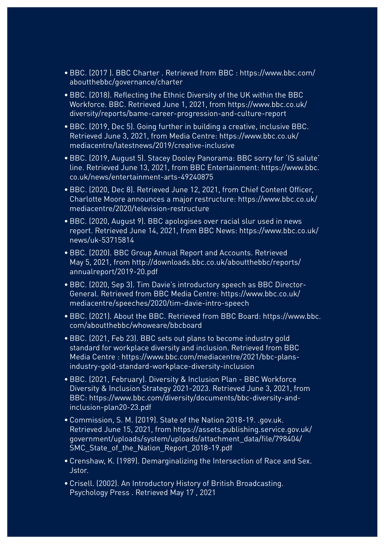- BBC. (2017 ). BBC Charter . Retrieved from BBC : https://www.bbc.com/ aboutthebbc/governance/charter
- BBC. (2018). Reflecting the Ethnic Diversity of the UK within the BBC Workforce. BBC. Retrieved June 1, 2021, from https://www.bbc.co.uk/ diversity/reports/bame-career-progression-and-culture-report
- BBC. (2019, Dec 5). Going further in building a creative, inclusive BBC. Retrieved June 3, 2021, from Media Centre: https://www.bbc.co.uk/ mediacentre/latestnews/2019/creative-inclusive
- BBC. (2019, August 5). Stacey Dooley Panorama: BBC sorry for 'IS salute' line. Retrieved June 13, 2021, from BBC Entertainment: https://www.bbc. co.uk/news/entertainment-arts-49240875
- BBC. (2020, Dec 8). Retrieved June 12, 2021, from Chief Content Officer, Charlotte Moore announces a major restructure: https://www.bbc.co.uk/ mediacentre/2020/television-restructure
- BBC. (2020, August 9). BBC apologises over racial slur used in news report. Retrieved June 14, 2021, from BBC News: https://www.bbc.co.uk/ news/uk-53715814
- BBC. (2020). BBC Group Annual Report and Accounts. Retrieved May 5, 2021, from http://downloads.bbc.co.uk/aboutthebbc/reports/ annualreport/2019-20.pdf
- BBC. (2020, Sep 3). Tim Davie's introductory speech as BBC Director-General. Retrieved from BBC Media Centre: https://www.bbc.co.uk/ mediacentre/speeches/2020/tim-davie-intro-speech
- BBC. (2021). About the BBC. Retrieved from BBC Board: https://www.bbc. com/aboutthebbc/whoweare/bbcboard
- BBC. (2021, Feb 23). BBC sets out plans to become industry gold standard for workplace diversity and inclusion. Retrieved from BBC Media Centre : https://www.bbc.com/mediacentre/2021/bbc-plansindustry-gold-standard-workplace-diversity-inclusion
- BBC. (2021, February). Diversity & Inclusion Plan BBC Workforce Diversity & Inclusion Strategy 2021-2023. Retrieved June 3, 2021, from BBC: https://www.bbc.com/diversity/documents/bbc-diversity-andinclusion-plan20-23.pdf
- Commission, S. M. (2019). State of the Nation 2018-19. .gov.uk. Retrieved June 15, 2021, from https://assets.publishing.service.gov.uk/ government/uploads/system/uploads/attachment\_data/file/798404/ SMC\_State\_of\_the\_Nation\_Report\_2018-19.pdf
- Crenshaw, K. (1989). Demarginalizing the Intersection of Race and Sex. Jstor.
- Crisell. (2002). An Introductory History of British Broadcasting. Psychology Press . Retrieved May 17 , 2021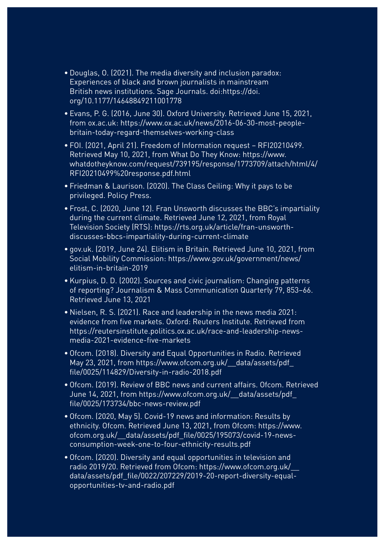- Douglas, O. (2021). The media diversity and inclusion paradox: Experiences of black and brown journalists in mainstream British news institutions. Sage Journals. doi:https://doi. org/10.1177/14648849211001778
- Evans, P. G. (2016, June 30). Oxford University. Retrieved June 15, 2021, from ox.ac.uk: https://www.ox.ac.uk/news/2016-06-30-most-peoplebritain-today-regard-themselves-working-class
- FOI. (2021, April 21). Freedom of Information request RFI20210499. Retrieved May 10, 2021, from What Do They Know: https://www. whatdotheyknow.com/request/739195/response/1773709/attach/html/4/ RFI20210499%20response.pdf.html
- Friedman & Laurison. (2020). The Class Ceiling: Why it pays to be privileged. Policy Press.
- Frost, C. (2020, June 12). Fran Unsworth discusses the BBC's impartiality during the current climate. Retrieved June 12, 2021, from Royal Television Society (RTS): https://rts.org.uk/article/fran-unsworthdiscusses-bbcs-impartiality-during-current-climate
- gov.uk. (2019, June 24). Elitism in Britain. Retrieved June 10, 2021, from Social Mobility Commission: https://www.gov.uk/government/news/ elitism-in-britain-2019
- Kurpius, D. D. (2002). Sources and civic journalism: Changing patterns of reporting? Journalism & Mass Communication Quarterly 79, 853–66. Retrieved June 13, 2021
- Nielsen, R. S. (2021). Race and leadership in the news media 2021: evidence from five markets. Oxford: Reuters Institute. Retrieved from https://reutersinstitute.politics.ox.ac.uk/race-and-leadership-newsmedia-2021-evidence-five-markets
- Ofcom. (2018). Diversity and Equal Opportunities in Radio. Retrieved May 23, 2021, from https://www.ofcom.org.uk/\_\_data/assets/pdf\_ file/0025/114829/Diversity-in-radio-2018.pdf
- Ofcom. (2019). Review of BBC news and current affairs. Ofcom. Retrieved June 14, 2021, from https://www.ofcom.org.uk/\_\_data/assets/pdf\_ file/0025/173734/bbc-news-review.pdf
- Ofcom. (2020, May 5). Covid-19 news and information: Results by ethnicity. Ofcom. Retrieved June 13, 2021, from Ofcom: https://www. ofcom.org.uk/\_\_data/assets/pdf\_file/0025/195073/covid-19-newsconsumption-week-one-to-four-ethnicity-results.pdf
- Ofcom. (2020). Diversity and equal opportunities in television and radio 2019/20. Retrieved from Ofcom: https://www.ofcom.org.uk/\_\_ data/assets/pdf\_file/0022/207229/2019-20-report-diversity-equalopportunities-tv-and-radio.pdf